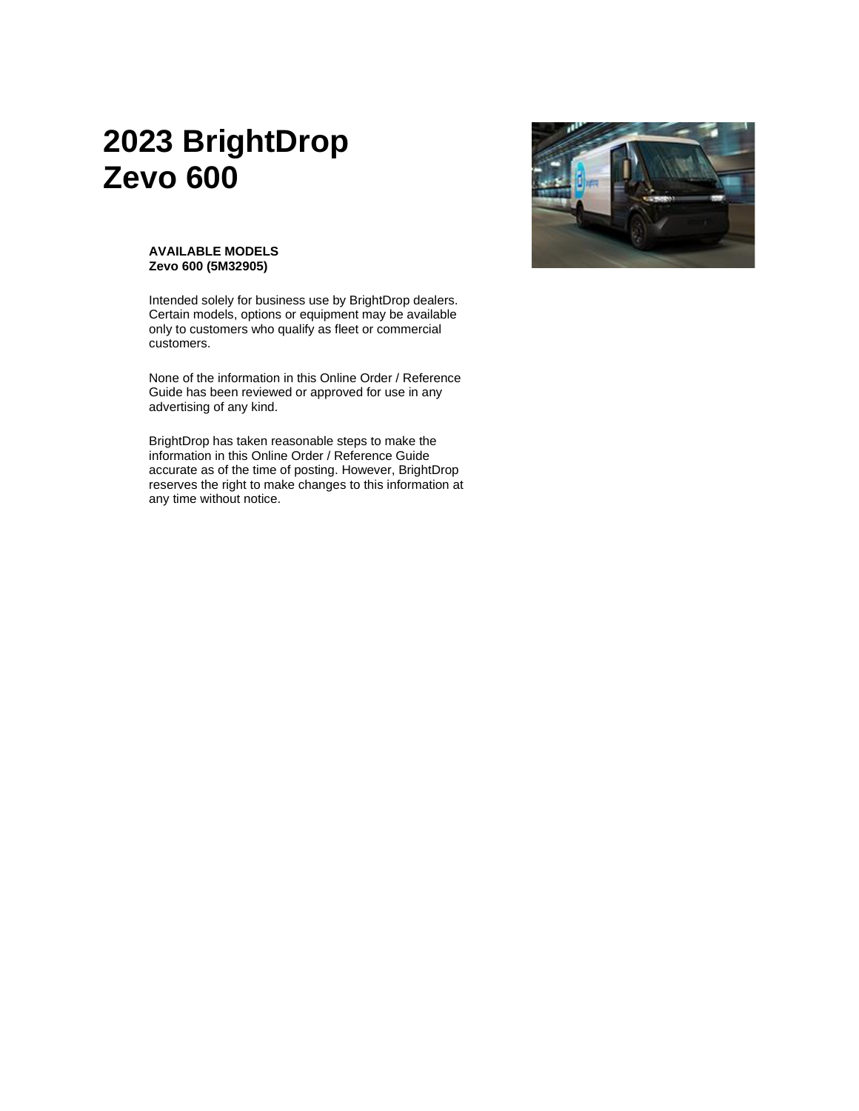# **2023 BrightDrop Zevo 600**



#### **AVAILABLE MODELS Zevo 600 (5M32905)**

Intended solely for business use by BrightDrop dealers. Certain models, options or equipment may be available only to customers who qualify as fleet or commercial customers.

None of the information in this Online Order / Reference Guide has been reviewed or approved for use in any advertising of any kind.

BrightDrop has taken reasonable steps to make the information in this Online Order / Reference Guide accurate as of the time of posting. However, BrightDrop reserves the right to make changes to this information at any time without notice.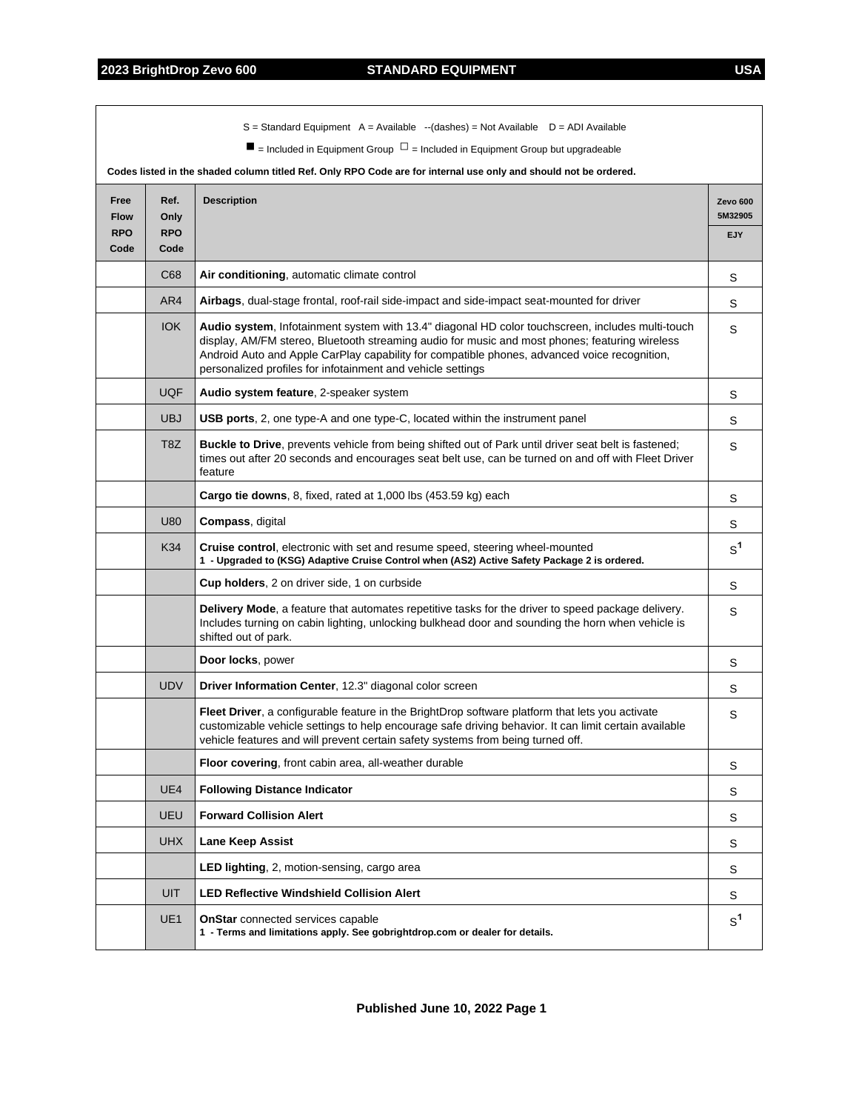$\overline{\phantom{a}}$ 

|                                           |                                    | $S =$ Standard Equipment A = Available $-(dashed)$ = Not Available D = ADI Available<br>$\blacksquare$ = Included in Equipment Group $\square$ = Included in Equipment Group but upgradeable                                                                                                                                                                      |                                          |
|-------------------------------------------|------------------------------------|-------------------------------------------------------------------------------------------------------------------------------------------------------------------------------------------------------------------------------------------------------------------------------------------------------------------------------------------------------------------|------------------------------------------|
|                                           |                                    | Codes listed in the shaded column titled Ref. Only RPO Code are for internal use only and should not be ordered.                                                                                                                                                                                                                                                  |                                          |
| Free<br><b>Flow</b><br><b>RPO</b><br>Code | Ref.<br>Only<br><b>RPO</b><br>Code | <b>Description</b>                                                                                                                                                                                                                                                                                                                                                | <b>Zevo 600</b><br>5M32905<br><b>EJY</b> |
|                                           | C68                                | Air conditioning, automatic climate control                                                                                                                                                                                                                                                                                                                       | S                                        |
|                                           | AR4                                | Airbags, dual-stage frontal, roof-rail side-impact and side-impact seat-mounted for driver                                                                                                                                                                                                                                                                        | S                                        |
|                                           | <b>IOK</b>                         | Audio system, Infotainment system with 13.4" diagonal HD color touchscreen, includes multi-touch<br>display, AM/FM stereo, Bluetooth streaming audio for music and most phones; featuring wireless<br>Android Auto and Apple CarPlay capability for compatible phones, advanced voice recognition,<br>personalized profiles for infotainment and vehicle settings | S                                        |
|                                           | <b>UQF</b>                         | Audio system feature, 2-speaker system                                                                                                                                                                                                                                                                                                                            | S                                        |
|                                           | <b>UBJ</b>                         | USB ports, 2, one type-A and one type-C, located within the instrument panel                                                                                                                                                                                                                                                                                      | S                                        |
|                                           | T <sub>8</sub> Z                   | Buckle to Drive, prevents vehicle from being shifted out of Park until driver seat belt is fastened;<br>times out after 20 seconds and encourages seat belt use, can be turned on and off with Fleet Driver<br>feature                                                                                                                                            | S                                        |
|                                           |                                    | Cargo tie downs, 8, fixed, rated at 1,000 lbs (453.59 kg) each                                                                                                                                                                                                                                                                                                    | S                                        |
|                                           | U80                                | Compass, digital                                                                                                                                                                                                                                                                                                                                                  | S                                        |
|                                           | K34                                | Cruise control, electronic with set and resume speed, steering wheel-mounted<br>1 - Upgraded to (KSG) Adaptive Cruise Control when (AS2) Active Safety Package 2 is ordered.                                                                                                                                                                                      | $S^1$                                    |
|                                           |                                    | Cup holders, 2 on driver side, 1 on curbside                                                                                                                                                                                                                                                                                                                      | S                                        |
|                                           |                                    | Delivery Mode, a feature that automates repetitive tasks for the driver to speed package delivery.<br>Includes turning on cabin lighting, unlocking bulkhead door and sounding the horn when vehicle is<br>shifted out of park.                                                                                                                                   | S                                        |
|                                           |                                    | Door locks, power                                                                                                                                                                                                                                                                                                                                                 | S                                        |
|                                           | <b>UDV</b>                         | Driver Information Center, 12.3" diagonal color screen                                                                                                                                                                                                                                                                                                            | S                                        |
|                                           |                                    | Fleet Driver, a configurable feature in the BrightDrop software platform that lets you activate<br>customizable vehicle settings to help encourage safe driving behavior. It can limit certain available<br>vehicle features and will prevent certain safety systems from being turned off.                                                                       | S                                        |
|                                           |                                    | Floor covering, front cabin area, all-weather durable                                                                                                                                                                                                                                                                                                             | S                                        |
|                                           | UE4                                | <b>Following Distance Indicator</b>                                                                                                                                                                                                                                                                                                                               | S                                        |
|                                           | UEU                                | <b>Forward Collision Alert</b>                                                                                                                                                                                                                                                                                                                                    | S                                        |
|                                           | <b>UHX</b>                         | Lane Keep Assist                                                                                                                                                                                                                                                                                                                                                  | S                                        |
|                                           |                                    | <b>LED lighting, 2, motion-sensing, cargo area</b>                                                                                                                                                                                                                                                                                                                | S                                        |
|                                           | <b>UIT</b>                         | <b>LED Reflective Windshield Collision Alert</b>                                                                                                                                                                                                                                                                                                                  | S                                        |
|                                           | UE <sub>1</sub>                    | <b>OnStar</b> connected services capable<br>1 - Terms and limitations apply. See gobrightdrop.com or dealer for details.                                                                                                                                                                                                                                          | $S^1$                                    |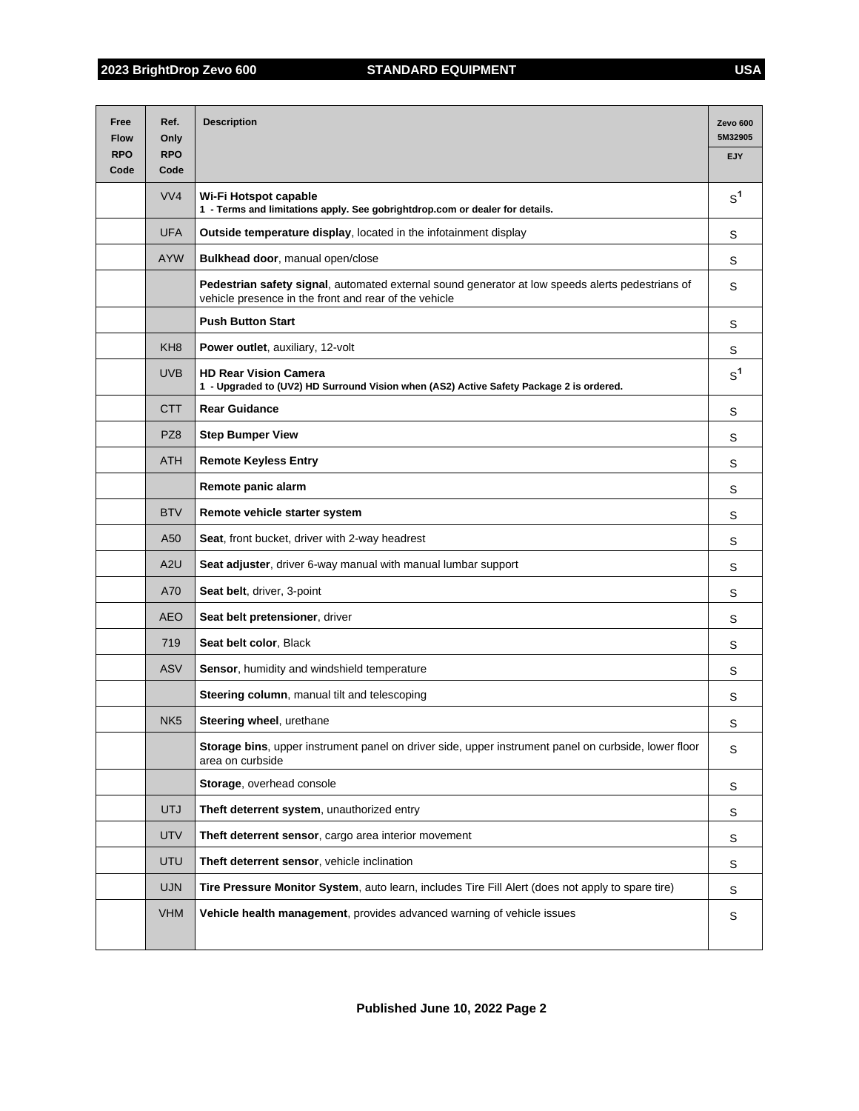| Free<br><b>Flow</b> | Ref.<br>Only       | <b>Description</b>                                                                                                                                        | Zevo 600<br>5M32905 |
|---------------------|--------------------|-----------------------------------------------------------------------------------------------------------------------------------------------------------|---------------------|
| <b>RPO</b><br>Code  | <b>RPO</b><br>Code |                                                                                                                                                           | EJY                 |
|                     | VVA                | Wi-Fi Hotspot capable<br>1 - Terms and limitations apply. See gobrightdrop.com or dealer for details.                                                     | S <sup>1</sup>      |
|                     | <b>UFA</b>         | Outside temperature display, located in the infotainment display                                                                                          | S                   |
|                     | <b>AYW</b>         | Bulkhead door, manual open/close                                                                                                                          | S                   |
|                     |                    | Pedestrian safety signal, automated external sound generator at low speeds alerts pedestrians of<br>vehicle presence in the front and rear of the vehicle | S                   |
|                     |                    | <b>Push Button Start</b>                                                                                                                                  | S                   |
|                     | KH <sub>8</sub>    | <b>Power outlet, auxiliary, 12-volt</b>                                                                                                                   | S                   |
|                     | <b>UVB</b>         | <b>HD Rear Vision Camera</b><br>1 - Upgraded to (UV2) HD Surround Vision when (AS2) Active Safety Package 2 is ordered.                                   | $S^1$               |
|                     | <b>CTT</b>         | <b>Rear Guidance</b>                                                                                                                                      | S                   |
|                     | PZ8                | <b>Step Bumper View</b>                                                                                                                                   | S                   |
|                     | <b>ATH</b>         | <b>Remote Keyless Entry</b>                                                                                                                               | S                   |
|                     |                    | Remote panic alarm                                                                                                                                        | S                   |
|                     | <b>BTV</b>         | Remote vehicle starter system                                                                                                                             | S                   |
|                     | A50                | Seat, front bucket, driver with 2-way headrest                                                                                                            | S                   |
|                     | A2U                | Seat adjuster, driver 6-way manual with manual lumbar support                                                                                             | S                   |
|                     | A70                | Seat belt, driver, 3-point                                                                                                                                | S                   |
|                     | <b>AEO</b>         | Seat belt pretensioner, driver                                                                                                                            | S                   |
|                     | 719                | Seat belt color, Black                                                                                                                                    | S                   |
|                     | <b>ASV</b>         | Sensor, humidity and windshield temperature                                                                                                               | S                   |
|                     |                    | Steering column, manual tilt and telescoping                                                                                                              | S                   |
|                     | NK <sub>5</sub>    | Steering wheel, urethane                                                                                                                                  | S                   |
|                     |                    | Storage bins, upper instrument panel on driver side, upper instrument panel on curbside, lower floor<br>area on curbside                                  | S                   |
|                     |                    | Storage, overhead console                                                                                                                                 | S                   |
|                     | <b>UTJ</b>         | Theft deterrent system, unauthorized entry                                                                                                                | S                   |
|                     | <b>UTV</b>         | Theft deterrent sensor, cargo area interior movement                                                                                                      | S                   |
|                     | <b>UTU</b>         | Theft deterrent sensor, vehicle inclination                                                                                                               | S                   |
|                     | <b>UJN</b>         | Tire Pressure Monitor System, auto learn, includes Tire Fill Alert (does not apply to spare tire)                                                         | S                   |
|                     | <b>VHM</b>         | Vehicle health management, provides advanced warning of vehicle issues                                                                                    | S                   |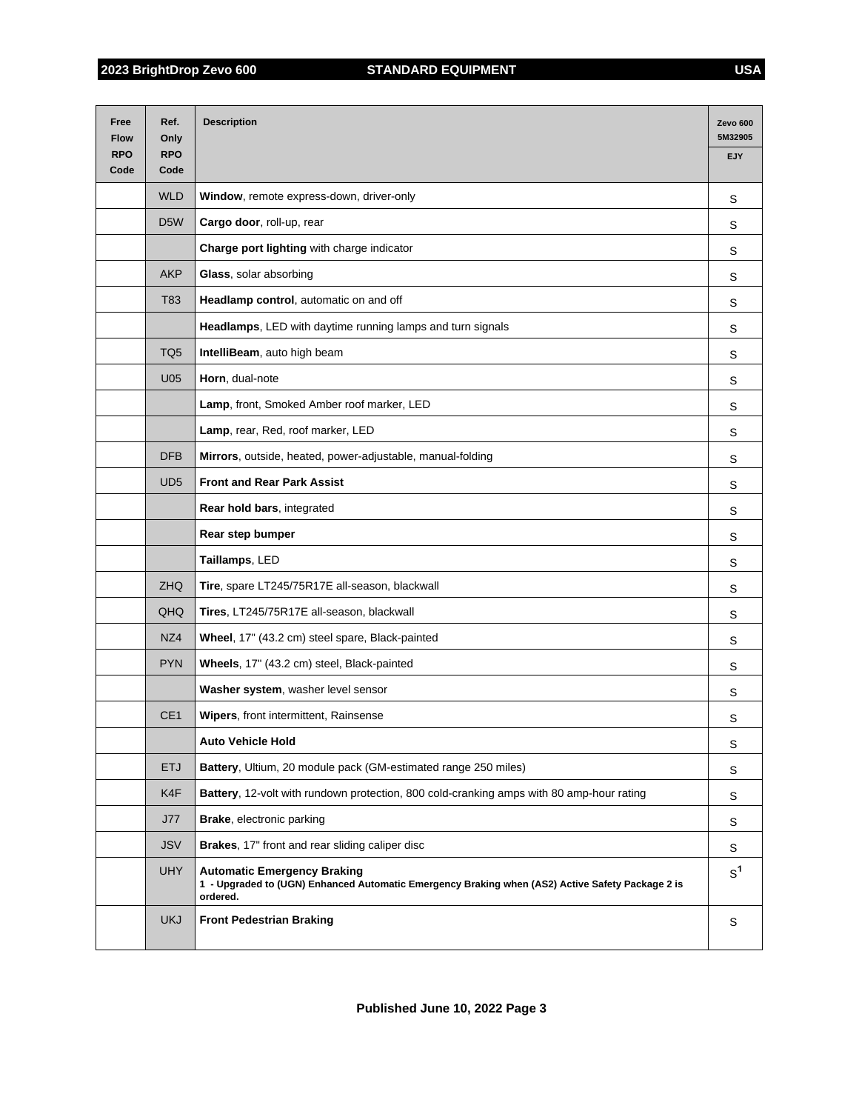| Free<br><b>Flow</b> | Ref.<br>Only       | <b>Description</b>                                                                                                                                 | Zevo 600<br>5M32905 |
|---------------------|--------------------|----------------------------------------------------------------------------------------------------------------------------------------------------|---------------------|
| <b>RPO</b><br>Code  | <b>RPO</b><br>Code |                                                                                                                                                    | <b>EJY</b>          |
|                     | <b>WLD</b>         | Window, remote express-down, driver-only                                                                                                           | S                   |
|                     | D <sub>5</sub> W   | Cargo door, roll-up, rear                                                                                                                          | S                   |
|                     |                    | Charge port lighting with charge indicator                                                                                                         | S                   |
|                     | <b>AKP</b>         | Glass, solar absorbing                                                                                                                             | S                   |
|                     | T83                | Headlamp control, automatic on and off                                                                                                             | S                   |
|                     |                    | Headlamps, LED with daytime running lamps and turn signals                                                                                         | S                   |
|                     | TQ <sub>5</sub>    | IntelliBeam, auto high beam                                                                                                                        | S                   |
|                     | U05                | Horn, dual-note                                                                                                                                    | S                   |
|                     |                    | Lamp, front, Smoked Amber roof marker, LED                                                                                                         | S                   |
|                     |                    | Lamp, rear, Red, roof marker, LED                                                                                                                  | S                   |
|                     | <b>DFB</b>         | Mirrors, outside, heated, power-adjustable, manual-folding                                                                                         | S                   |
|                     | UD <sub>5</sub>    | <b>Front and Rear Park Assist</b>                                                                                                                  | S                   |
|                     |                    | Rear hold bars, integrated                                                                                                                         | S                   |
|                     |                    | Rear step bumper                                                                                                                                   | S                   |
|                     |                    | Taillamps, LED                                                                                                                                     | S                   |
|                     | ZHQ                | Tire, spare LT245/75R17E all-season, blackwall                                                                                                     | S                   |
|                     | QHQ                | Tires, LT245/75R17E all-season, blackwall                                                                                                          | S                   |
|                     | NZ4                | Wheel, 17" (43.2 cm) steel spare, Black-painted                                                                                                    | S                   |
|                     | <b>PYN</b>         | Wheels, 17" (43.2 cm) steel, Black-painted                                                                                                         | S                   |
|                     |                    | Washer system, washer level sensor                                                                                                                 | S                   |
|                     | CE <sub>1</sub>    | <b>Wipers, front intermittent, Rainsense</b>                                                                                                       | S                   |
|                     |                    | <b>Auto Vehicle Hold</b>                                                                                                                           | S                   |
|                     | <b>ETJ</b>         | Battery, Ultium, 20 module pack (GM-estimated range 250 miles)                                                                                     | S                   |
|                     | K4F                | Battery, 12-volt with rundown protection, 800 cold-cranking amps with 80 amp-hour rating                                                           | S                   |
|                     | <b>J77</b>         | Brake, electronic parking                                                                                                                          | S                   |
|                     | <b>JSV</b>         | Brakes, 17" front and rear sliding caliper disc                                                                                                    | S                   |
|                     | <b>UHY</b>         | <b>Automatic Emergency Braking</b><br>1 - Upgraded to (UGN) Enhanced Automatic Emergency Braking when (AS2) Active Safety Package 2 is<br>ordered. | $S^1$               |
|                     | <b>UKJ</b>         | <b>Front Pedestrian Braking</b>                                                                                                                    | S                   |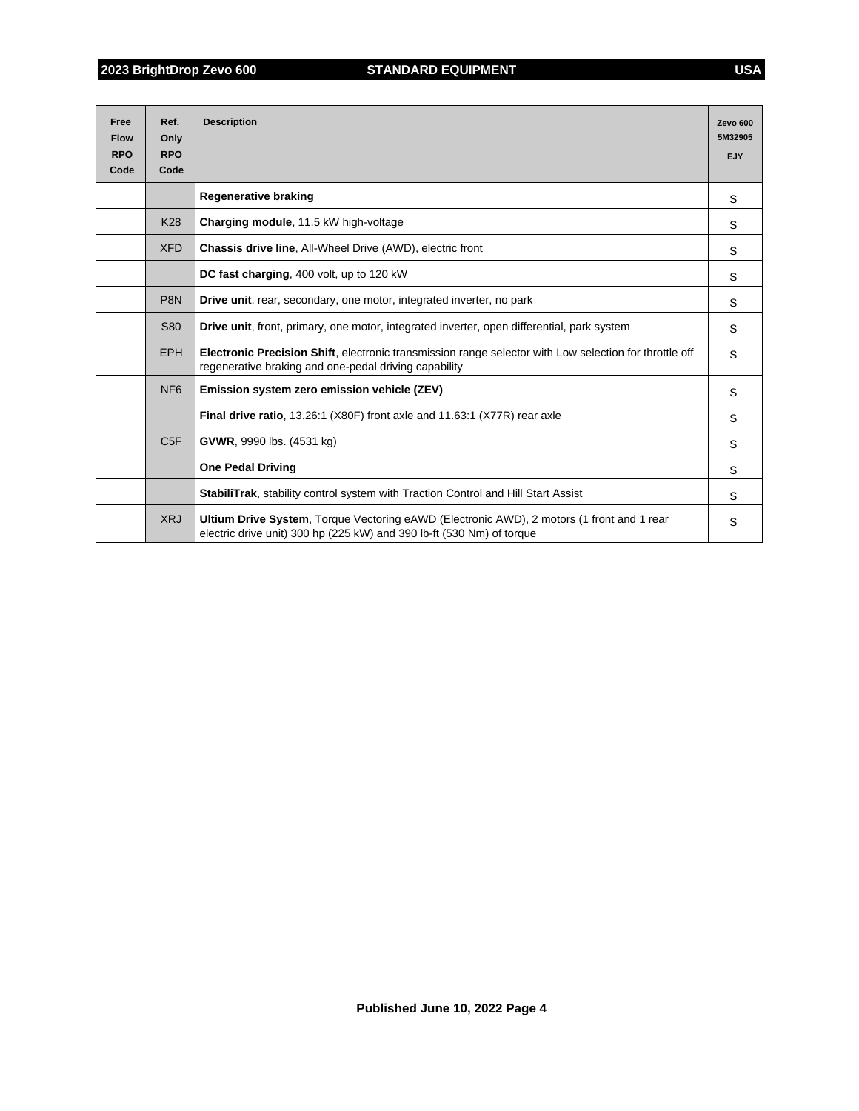| Free<br><b>Flow</b> | Ref.<br>Only       | <b>Description</b>                                                                                                                                                 | <b>Zevo 600</b><br>5M32905 |
|---------------------|--------------------|--------------------------------------------------------------------------------------------------------------------------------------------------------------------|----------------------------|
| <b>RPO</b><br>Code  | <b>RPO</b><br>Code |                                                                                                                                                                    | EJY                        |
|                     |                    |                                                                                                                                                                    |                            |
|                     |                    | <b>Regenerative braking</b>                                                                                                                                        | S                          |
|                     | <b>K28</b>         | Charging module, 11.5 kW high-voltage                                                                                                                              | S                          |
|                     | <b>XFD</b>         | Chassis drive line, All-Wheel Drive (AWD), electric front                                                                                                          | S                          |
|                     |                    | DC fast charging, 400 volt, up to 120 kW                                                                                                                           | S                          |
|                     | P <sub>8N</sub>    | Drive unit, rear, secondary, one motor, integrated inverter, no park                                                                                               | S                          |
|                     | <b>S80</b>         | Drive unit, front, primary, one motor, integrated inverter, open differential, park system                                                                         | S                          |
|                     | <b>EPH</b>         | Electronic Precision Shift, electronic transmission range selector with Low selection for throttle off<br>regenerative braking and one-pedal driving capability    | S                          |
|                     | NF <sub>6</sub>    | Emission system zero emission vehicle (ZEV)                                                                                                                        | S                          |
|                     |                    | Final drive ratio, 13.26:1 (X80F) front axle and 11.63:1 (X77R) rear axle                                                                                          | S                          |
|                     | C <sub>5F</sub>    | <b>GVWR, 9990 lbs. (4531 kg)</b>                                                                                                                                   | S                          |
|                     |                    | <b>One Pedal Driving</b>                                                                                                                                           | S                          |
|                     |                    | <b>StabiliTrak, stability control system with Traction Control and Hill Start Assist</b>                                                                           | S                          |
|                     | <b>XRJ</b>         | Ultium Drive System, Torque Vectoring eAWD (Electronic AWD), 2 motors (1 front and 1 rear<br>electric drive unit) 300 hp (225 kW) and 390 lb-ft (530 Nm) of torque | S                          |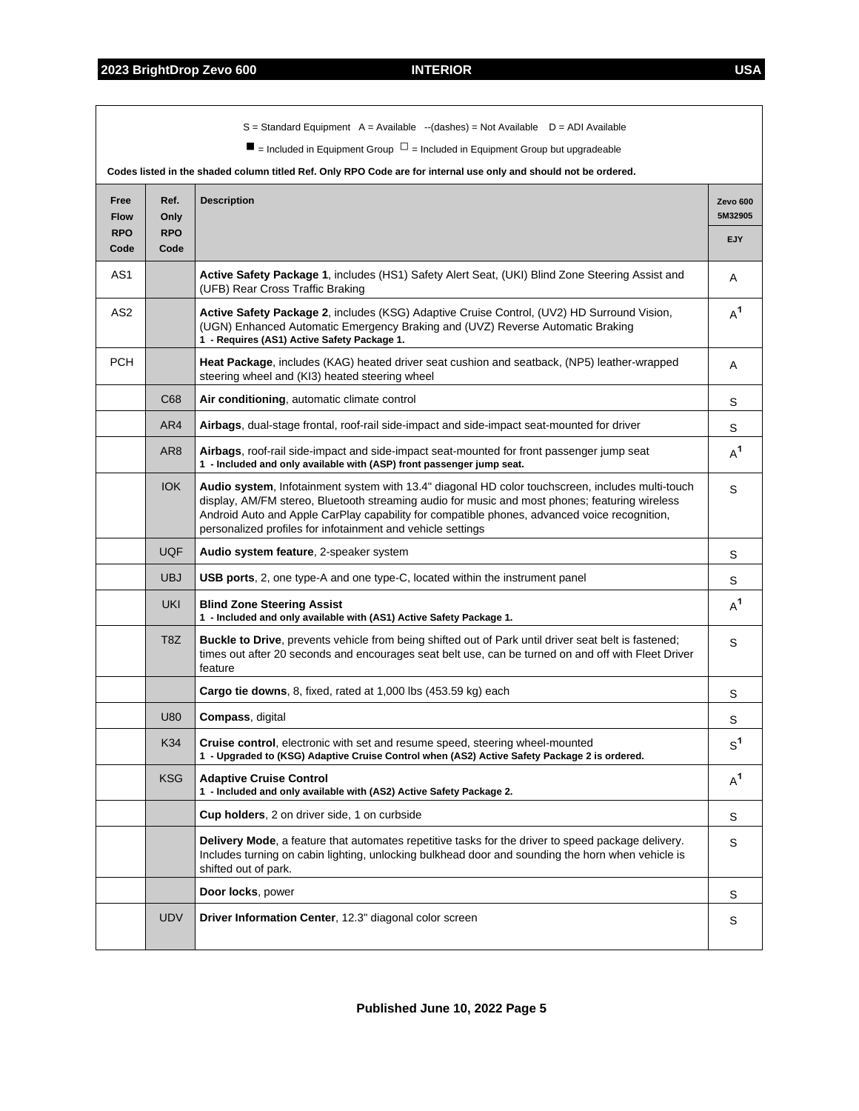|                                   |                            | $S =$ Standard Equipment A = Available --(dashes) = Not Available $D =$ ADI Available<br>$\blacksquare$ = Included in Equipment Group $\Box$ = Included in Equipment Group but upgradeable<br>Codes listed in the shaded column titled Ref. Only RPO Code are for internal use only and should not be ordered.                                                    |                            |
|-----------------------------------|----------------------------|-------------------------------------------------------------------------------------------------------------------------------------------------------------------------------------------------------------------------------------------------------------------------------------------------------------------------------------------------------------------|----------------------------|
| Free<br><b>Flow</b><br><b>RPO</b> | Ref.<br>Only<br><b>RPO</b> | <b>Description</b>                                                                                                                                                                                                                                                                                                                                                | Zevo 600<br>5M32905<br>EJY |
| Code                              | Code                       |                                                                                                                                                                                                                                                                                                                                                                   |                            |
| AS1                               |                            | Active Safety Package 1, includes (HS1) Safety Alert Seat, (UKI) Blind Zone Steering Assist and<br>(UFB) Rear Cross Traffic Braking                                                                                                                                                                                                                               | A                          |
| AS <sub>2</sub>                   |                            | Active Safety Package 2, includes (KSG) Adaptive Cruise Control, (UV2) HD Surround Vision,<br>(UGN) Enhanced Automatic Emergency Braking and (UVZ) Reverse Automatic Braking<br>1 - Requires (AS1) Active Safety Package 1.                                                                                                                                       | $A^1$                      |
| <b>PCH</b>                        |                            | Heat Package, includes (KAG) heated driver seat cushion and seatback, (NP5) leather-wrapped<br>steering wheel and (KI3) heated steering wheel                                                                                                                                                                                                                     | Α                          |
|                                   | C68                        | Air conditioning, automatic climate control                                                                                                                                                                                                                                                                                                                       | S                          |
|                                   | AR4                        | Airbags, dual-stage frontal, roof-rail side-impact and side-impact seat-mounted for driver                                                                                                                                                                                                                                                                        | S                          |
|                                   | AR <sub>8</sub>            | Airbags, roof-rail side-impact and side-impact seat-mounted for front passenger jump seat<br>1 - Included and only available with (ASP) front passenger jump seat.                                                                                                                                                                                                | $A^1$                      |
|                                   | <b>IOK</b>                 | Audio system, Infotainment system with 13.4" diagonal HD color touchscreen, includes multi-touch<br>display, AM/FM stereo, Bluetooth streaming audio for music and most phones; featuring wireless<br>Android Auto and Apple CarPlay capability for compatible phones, advanced voice recognition,<br>personalized profiles for infotainment and vehicle settings | S                          |
|                                   | <b>UQF</b>                 | Audio system feature, 2-speaker system                                                                                                                                                                                                                                                                                                                            | S                          |
|                                   | <b>UBJ</b>                 | <b>USB ports, 2, one type-A and one type-C, located within the instrument panel</b>                                                                                                                                                                                                                                                                               | S                          |
|                                   | <b>UKI</b>                 | <b>Blind Zone Steering Assist</b><br>1 - Included and only available with (AS1) Active Safety Package 1.                                                                                                                                                                                                                                                          | $A^1$                      |
|                                   | T <sub>8</sub> Z           | Buckle to Drive, prevents vehicle from being shifted out of Park until driver seat belt is fastened;<br>times out after 20 seconds and encourages seat belt use, can be turned on and off with Fleet Driver<br>feature                                                                                                                                            | S                          |
|                                   |                            | Cargo tie downs, 8, fixed, rated at 1,000 lbs (453.59 kg) each                                                                                                                                                                                                                                                                                                    | S                          |
|                                   | U80                        | Compass, digital                                                                                                                                                                                                                                                                                                                                                  | S                          |
|                                   | K34                        | Cruise control, electronic with set and resume speed, steering wheel-mounted<br>1 - Upgraded to (KSG) Adaptive Cruise Control when (AS2) Active Safety Package 2 is ordered.                                                                                                                                                                                      | $S^1$                      |
|                                   | <b>KSG</b>                 | <b>Adaptive Cruise Control</b><br>1 - Included and only available with (AS2) Active Safety Package 2.                                                                                                                                                                                                                                                             | $A^1$                      |
|                                   |                            | Cup holders, 2 on driver side, 1 on curbside                                                                                                                                                                                                                                                                                                                      | S                          |
|                                   |                            | Delivery Mode, a feature that automates repetitive tasks for the driver to speed package delivery.<br>Includes turning on cabin lighting, unlocking bulkhead door and sounding the horn when vehicle is<br>shifted out of park.                                                                                                                                   | S                          |
|                                   |                            | Door locks, power                                                                                                                                                                                                                                                                                                                                                 | S                          |
|                                   | <b>UDV</b>                 | Driver Information Center, 12.3" diagonal color screen                                                                                                                                                                                                                                                                                                            | S                          |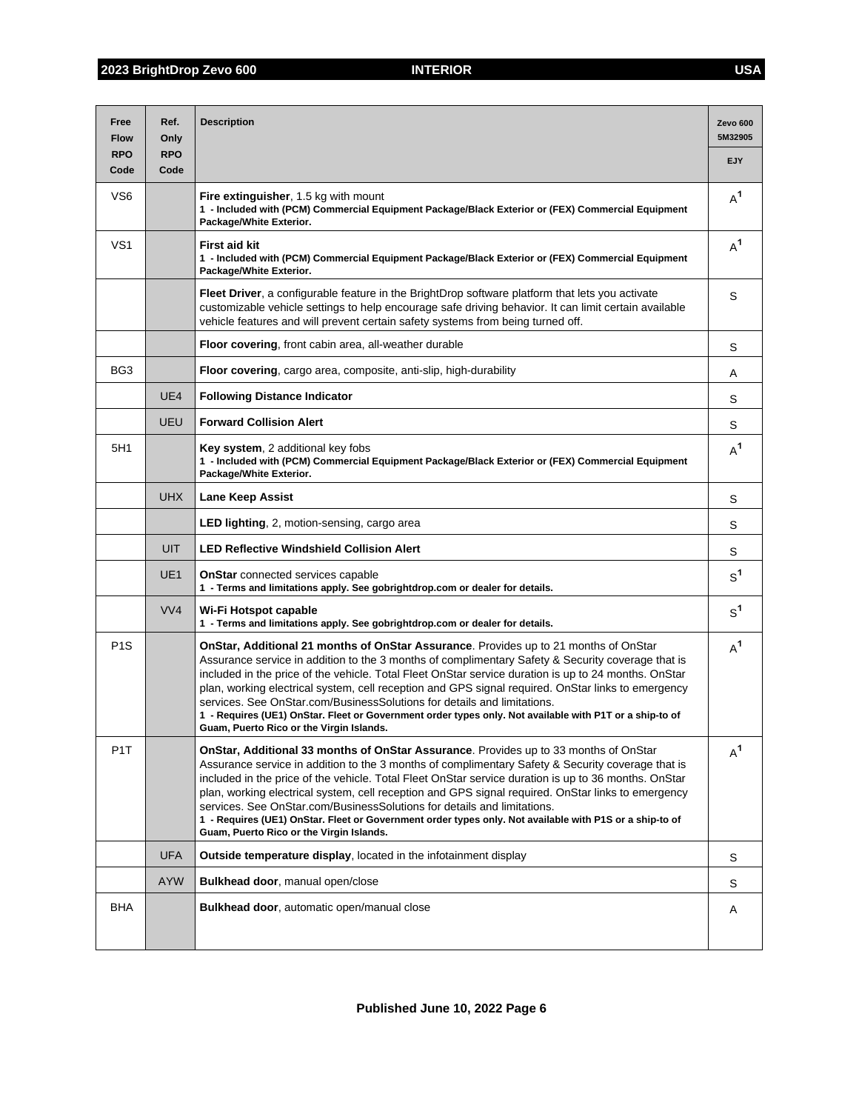| Free<br><b>Flow</b> | Ref.<br>Only       | <b>Description</b>                                                                                                                                                                                                                                                                                                                                                                                                                                                                                                                                                                                                                        | Zevo <sub>600</sub><br>5M32905 |
|---------------------|--------------------|-------------------------------------------------------------------------------------------------------------------------------------------------------------------------------------------------------------------------------------------------------------------------------------------------------------------------------------------------------------------------------------------------------------------------------------------------------------------------------------------------------------------------------------------------------------------------------------------------------------------------------------------|--------------------------------|
| <b>RPO</b><br>Code  | <b>RPO</b><br>Code |                                                                                                                                                                                                                                                                                                                                                                                                                                                                                                                                                                                                                                           | <b>EJY</b>                     |
| VS <sub>6</sub>     |                    | <b>Fire extinguisher, 1.5 kg with mount</b><br>1 - Included with (PCM) Commercial Equipment Package/Black Exterior or (FEX) Commercial Equipment<br>Package/White Exterior.                                                                                                                                                                                                                                                                                                                                                                                                                                                               | $A^1$                          |
| VS <sub>1</sub>     |                    | <b>First aid kit</b><br>1 - Included with (PCM) Commercial Equipment Package/Black Exterior or (FEX) Commercial Equipment<br>Package/White Exterior.                                                                                                                                                                                                                                                                                                                                                                                                                                                                                      | $A^1$                          |
|                     |                    | Fleet Driver, a configurable feature in the BrightDrop software platform that lets you activate<br>customizable vehicle settings to help encourage safe driving behavior. It can limit certain available<br>vehicle features and will prevent certain safety systems from being turned off.                                                                                                                                                                                                                                                                                                                                               | S                              |
|                     |                    | Floor covering, front cabin area, all-weather durable                                                                                                                                                                                                                                                                                                                                                                                                                                                                                                                                                                                     | S                              |
| BG <sub>3</sub>     |                    | Floor covering, cargo area, composite, anti-slip, high-durability                                                                                                                                                                                                                                                                                                                                                                                                                                                                                                                                                                         | Α                              |
|                     | UE4                | <b>Following Distance Indicator</b>                                                                                                                                                                                                                                                                                                                                                                                                                                                                                                                                                                                                       | S                              |
|                     | UEU                | <b>Forward Collision Alert</b>                                                                                                                                                                                                                                                                                                                                                                                                                                                                                                                                                                                                            | S                              |
| 5H1                 |                    | Key system, 2 additional key fobs<br>1 - Included with (PCM) Commercial Equipment Package/Black Exterior or (FEX) Commercial Equipment<br>Package/White Exterior.                                                                                                                                                                                                                                                                                                                                                                                                                                                                         | $A^1$                          |
|                     | <b>UHX</b>         | <b>Lane Keep Assist</b>                                                                                                                                                                                                                                                                                                                                                                                                                                                                                                                                                                                                                   | S                              |
|                     |                    | LED lighting, 2, motion-sensing, cargo area                                                                                                                                                                                                                                                                                                                                                                                                                                                                                                                                                                                               | S                              |
|                     | UIT                | <b>LED Reflective Windshield Collision Alert</b>                                                                                                                                                                                                                                                                                                                                                                                                                                                                                                                                                                                          | S                              |
|                     | UE <sub>1</sub>    | <b>OnStar</b> connected services capable<br>1 - Terms and limitations apply. See gobrightdrop.com or dealer for details.                                                                                                                                                                                                                                                                                                                                                                                                                                                                                                                  | S <sup>1</sup>                 |
|                     | VV <sub>4</sub>    | Wi-Fi Hotspot capable<br>1 - Terms and limitations apply. See gobrightdrop.com or dealer for details.                                                                                                                                                                                                                                                                                                                                                                                                                                                                                                                                     | $S^1$                          |
| P <sub>1</sub> S    |                    | OnStar, Additional 21 months of OnStar Assurance. Provides up to 21 months of OnStar<br>Assurance service in addition to the 3 months of complimentary Safety & Security coverage that is<br>included in the price of the vehicle. Total Fleet OnStar service duration is up to 24 months. OnStar<br>plan, working electrical system, cell reception and GPS signal required. OnStar links to emergency<br>services. See OnStar.com/BusinessSolutions for details and limitations.<br>1 - Requires (UE1) OnStar. Fleet or Government order types only. Not available with P1T or a ship-to of<br>Guam, Puerto Rico or the Virgin Islands. | $A^1$                          |
| P <sub>1</sub> T    |                    | OnStar, Additional 33 months of OnStar Assurance. Provides up to 33 months of OnStar<br>Assurance service in addition to the 3 months of complimentary Safety & Security coverage that is<br>included in the price of the vehicle. Total Fleet OnStar service duration is up to 36 months. OnStar<br>plan, working electrical system, cell reception and GPS signal required. OnStar links to emergency<br>services. See OnStar.com/BusinessSolutions for details and limitations.<br>1 - Requires (UE1) OnStar. Fleet or Government order types only. Not available with P1S or a ship-to of<br>Guam, Puerto Rico or the Virgin Islands. | $A^1$                          |
|                     | <b>UFA</b>         | <b>Outside temperature display, located in the infotainment display</b>                                                                                                                                                                                                                                                                                                                                                                                                                                                                                                                                                                   | S                              |
|                     | <b>AYW</b>         | Bulkhead door, manual open/close                                                                                                                                                                                                                                                                                                                                                                                                                                                                                                                                                                                                          | S                              |
| BHA                 |                    | <b>Bulkhead door, automatic open/manual close</b>                                                                                                                                                                                                                                                                                                                                                                                                                                                                                                                                                                                         | Α                              |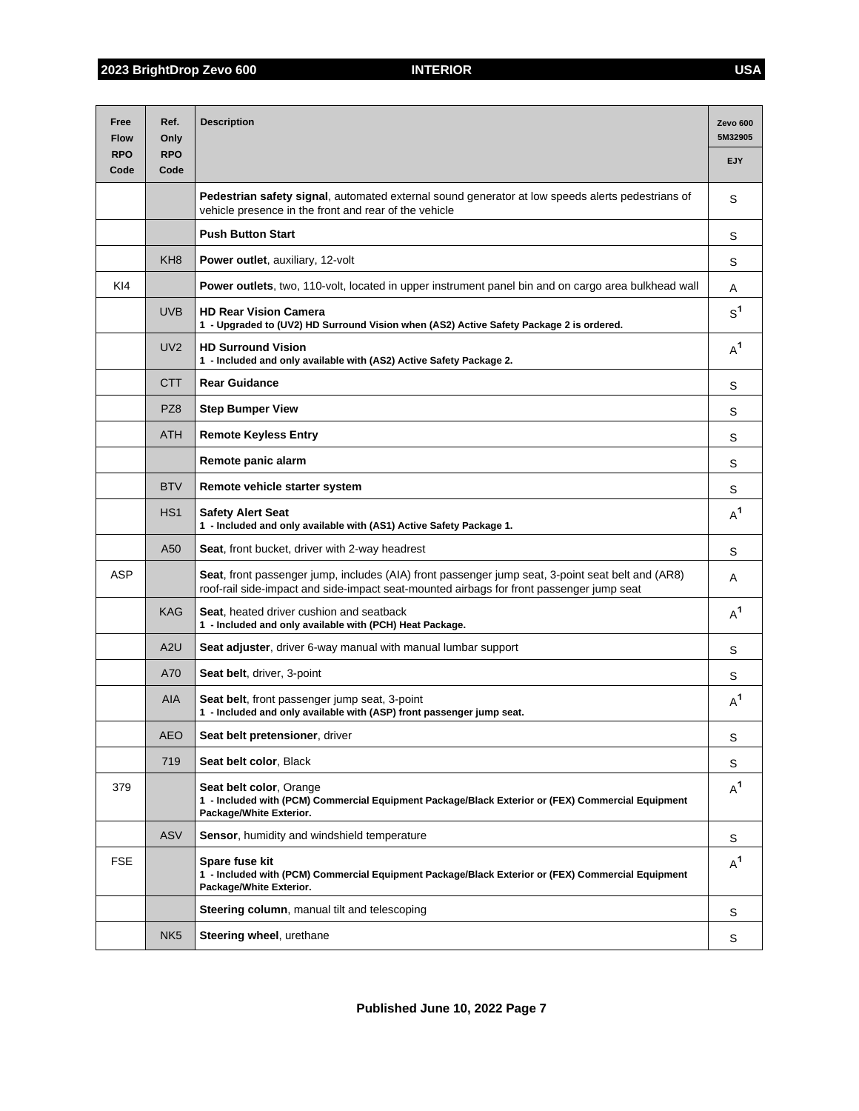| Free<br><b>Flow</b> | Ref.<br>Only       | <b>Description</b>                                                                                                                                                                            | Zevo 600<br>5M32905 |
|---------------------|--------------------|-----------------------------------------------------------------------------------------------------------------------------------------------------------------------------------------------|---------------------|
| <b>RPO</b><br>Code  | <b>RPO</b><br>Code |                                                                                                                                                                                               | <b>EJY</b>          |
|                     |                    | <b>Pedestrian safety signal</b> , automated external sound generator at low speeds alerts pedestrians of<br>vehicle presence in the front and rear of the vehicle                             | S                   |
|                     |                    | <b>Push Button Start</b>                                                                                                                                                                      | S                   |
|                     | KH <sub>8</sub>    | Power outlet, auxiliary, 12-volt                                                                                                                                                              | S                   |
| KI4                 |                    | Power outlets, two, 110-volt, located in upper instrument panel bin and on cargo area bulkhead wall                                                                                           | Α                   |
|                     | <b>UVB</b>         | <b>HD Rear Vision Camera</b><br>1 - Upgraded to (UV2) HD Surround Vision when (AS2) Active Safety Package 2 is ordered.                                                                       | $S^1$               |
|                     | UV <sub>2</sub>    | <b>HD Surround Vision</b><br>1 - Included and only available with (AS2) Active Safety Package 2.                                                                                              | $A^1$               |
|                     | <b>CTT</b>         | <b>Rear Guidance</b>                                                                                                                                                                          | S                   |
|                     | PZ8                | <b>Step Bumper View</b>                                                                                                                                                                       | S                   |
|                     | <b>ATH</b>         | <b>Remote Keyless Entry</b>                                                                                                                                                                   | S                   |
|                     |                    | Remote panic alarm                                                                                                                                                                            | S                   |
|                     | <b>BTV</b>         | Remote vehicle starter system                                                                                                                                                                 | S                   |
|                     | HS <sub>1</sub>    | <b>Safety Alert Seat</b><br>1 - Included and only available with (AS1) Active Safety Package 1.                                                                                               | $A^1$               |
|                     | A50                | <b>Seat, front bucket, driver with 2-way headrest</b>                                                                                                                                         | S                   |
| <b>ASP</b>          |                    | Seat, front passenger jump, includes (AIA) front passenger jump seat, 3-point seat belt and (AR8)<br>roof-rail side-impact and side-impact seat-mounted airbags for front passenger jump seat | A                   |
|                     | <b>KAG</b>         | Seat, heated driver cushion and seatback<br>1 - Included and only available with (PCH) Heat Package.                                                                                          | $A^1$               |
|                     | A2U                | Seat adjuster, driver 6-way manual with manual lumbar support                                                                                                                                 | S                   |
|                     | A70                | Seat belt, driver, 3-point                                                                                                                                                                    | S                   |
|                     | <b>AIA</b>         | Seat belt, front passenger jump seat, 3-point<br>1 - Included and only available with (ASP) front passenger jump seat.                                                                        | $A^1$               |
|                     | <b>AEO</b>         | Seat belt pretensioner, driver                                                                                                                                                                | S                   |
|                     | 719                | Seat belt color, Black                                                                                                                                                                        | S                   |
| 379                 |                    | Seat belt color, Orange<br>1 - Included with (PCM) Commercial Equipment Package/Black Exterior or (FEX) Commercial Equipment<br>Package/White Exterior.                                       | $A^1$               |
|                     | <b>ASV</b>         | Sensor, humidity and windshield temperature                                                                                                                                                   | S                   |
| <b>FSE</b>          |                    | Spare fuse kit<br>1 - Included with (PCM) Commercial Equipment Package/Black Exterior or (FEX) Commercial Equipment<br>Package/White Exterior.                                                | $A^1$               |
|                     |                    | <b>Steering column, manual tilt and telescoping</b>                                                                                                                                           | S                   |
|                     | NK <sub>5</sub>    | <b>Steering wheel, urethane</b>                                                                                                                                                               | S                   |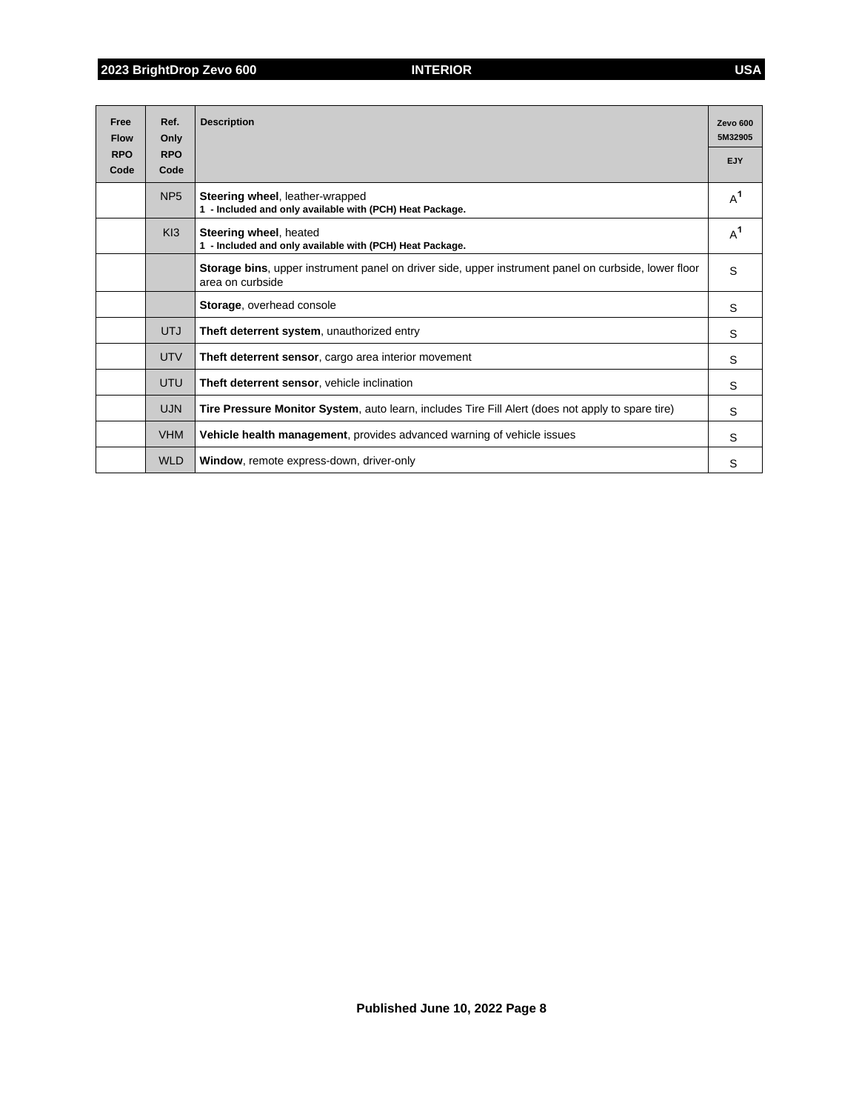| Free<br><b>Flow</b> | Ref.<br>Only       | <b>Description</b>                                                                                                       | Zevo 600<br>5M32905 |
|---------------------|--------------------|--------------------------------------------------------------------------------------------------------------------------|---------------------|
| <b>RPO</b><br>Code  | <b>RPO</b><br>Code |                                                                                                                          | <b>EJY</b>          |
|                     | NP <sub>5</sub>    | Steering wheel, leather-wrapped<br>1 - Included and only available with (PCH) Heat Package.                              | $A^1$               |
|                     | K13                | Steering wheel, heated<br>1 - Included and only available with (PCH) Heat Package.                                       | $A^1$               |
|                     |                    | Storage bins, upper instrument panel on driver side, upper instrument panel on curbside, lower floor<br>area on curbside | S                   |
|                     |                    | Storage, overhead console                                                                                                | S                   |
|                     | <b>UTJ</b>         | Theft deterrent system, unauthorized entry                                                                               | S                   |
|                     | <b>UTV</b>         | <b>Theft deterrent sensor, cargo area interior movement</b>                                                              | S                   |
|                     | <b>UTU</b>         | Theft deterrent sensor, vehicle inclination                                                                              | S                   |
|                     | <b>UJN</b>         | Tire Pressure Monitor System, auto learn, includes Tire Fill Alert (does not apply to spare tire)                        | S                   |
|                     | <b>VHM</b>         | Vehicle health management, provides advanced warning of vehicle issues                                                   | S                   |
|                     | <b>WLD</b>         | Window, remote express-down, driver-only                                                                                 | S                   |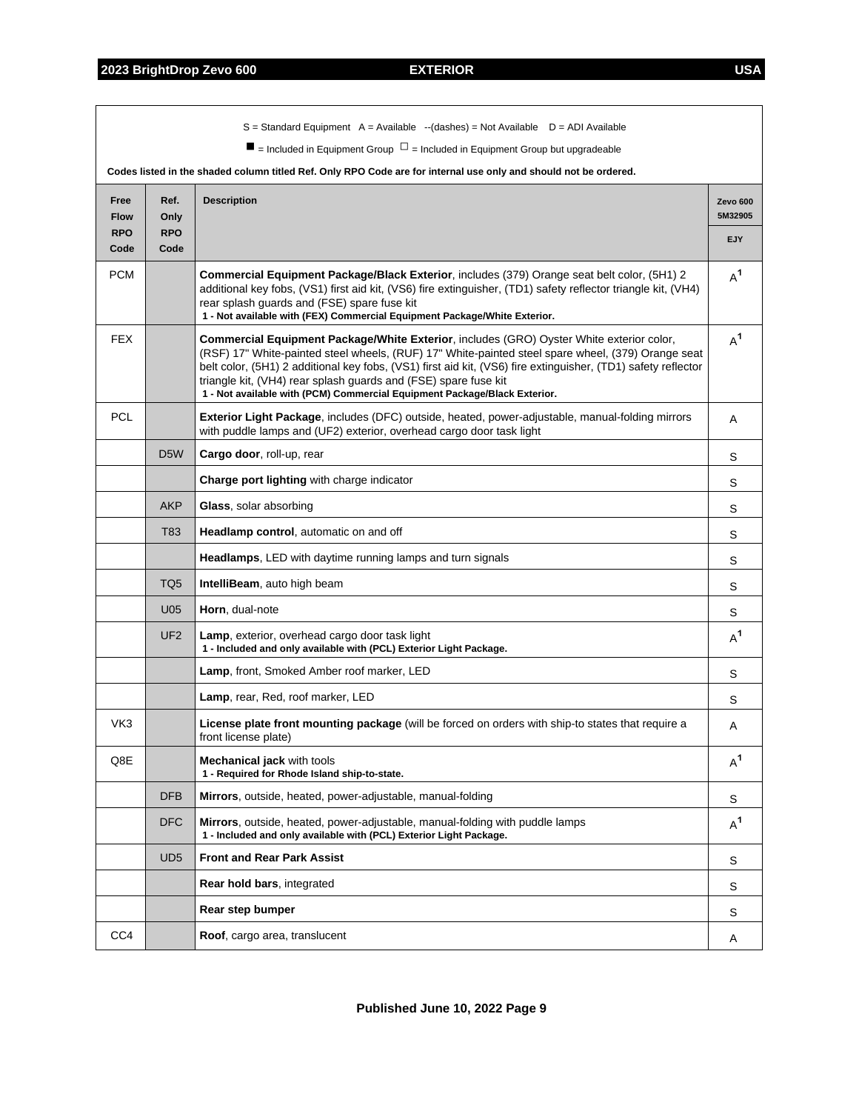$\overline{1}$ 

|                     |                    | $S =$ Standard Equipment A = Available --(dashes) = Not Available D = ADI Available<br>$\blacksquare$ = Included in Equipment Group $\Box$ = Included in Equipment Group but upgradeable                                                                                                                                                                                                                                                                               |                     |
|---------------------|--------------------|------------------------------------------------------------------------------------------------------------------------------------------------------------------------------------------------------------------------------------------------------------------------------------------------------------------------------------------------------------------------------------------------------------------------------------------------------------------------|---------------------|
|                     |                    | Codes listed in the shaded column titled Ref. Only RPO Code are for internal use only and should not be ordered.                                                                                                                                                                                                                                                                                                                                                       |                     |
| Free<br><b>Flow</b> | Ref.<br>Only       | <b>Description</b>                                                                                                                                                                                                                                                                                                                                                                                                                                                     | Zevo 600<br>5M32905 |
| <b>RPO</b><br>Code  | <b>RPO</b><br>Code |                                                                                                                                                                                                                                                                                                                                                                                                                                                                        | EJY                 |
| <b>PCM</b>          |                    | Commercial Equipment Package/Black Exterior, includes (379) Orange seat belt color, (5H1) 2<br>additional key fobs, (VS1) first aid kit, (VS6) fire extinguisher, (TD1) safety reflector triangle kit, (VH4)<br>rear splash guards and (FSE) spare fuse kit<br>1 - Not available with (FEX) Commercial Equipment Package/White Exterior.                                                                                                                               | $A^1$               |
| <b>FEX</b>          |                    | <b>Commercial Equipment Package/White Exterior, includes (GRO) Oyster White exterior color,</b><br>(RSF) 17" White-painted steel wheels, (RUF) 17" White-painted steel spare wheel, (379) Orange seat<br>belt color, (5H1) 2 additional key fobs, (VS1) first aid kit, (VS6) fire extinguisher, (TD1) safety reflector<br>triangle kit, (VH4) rear splash guards and (FSE) spare fuse kit<br>1 - Not available with (PCM) Commercial Equipment Package/Black Exterior. | $A^1$               |
| <b>PCL</b>          |                    | Exterior Light Package, includes (DFC) outside, heated, power-adjustable, manual-folding mirrors<br>with puddle lamps and (UF2) exterior, overhead cargo door task light                                                                                                                                                                                                                                                                                               | A                   |
|                     | D <sub>5</sub> W   | Cargo door, roll-up, rear                                                                                                                                                                                                                                                                                                                                                                                                                                              | S                   |
|                     |                    | Charge port lighting with charge indicator                                                                                                                                                                                                                                                                                                                                                                                                                             | S                   |
|                     | <b>AKP</b>         | Glass, solar absorbing                                                                                                                                                                                                                                                                                                                                                                                                                                                 | S                   |
|                     | T83                | <b>Headlamp control, automatic on and off</b>                                                                                                                                                                                                                                                                                                                                                                                                                          | S                   |
|                     |                    | <b>Headlamps, LED with daytime running lamps and turn signals</b>                                                                                                                                                                                                                                                                                                                                                                                                      | S                   |
|                     | TQ5                | <b>IntelliBeam, auto high beam</b>                                                                                                                                                                                                                                                                                                                                                                                                                                     | S                   |
|                     | U <sub>05</sub>    | Horn, dual-note                                                                                                                                                                                                                                                                                                                                                                                                                                                        | S                   |
|                     | UF <sub>2</sub>    | <b>Lamp</b> , exterior, overhead cargo door task light<br>1 - Included and only available with (PCL) Exterior Light Package.                                                                                                                                                                                                                                                                                                                                           | $A^1$               |
|                     |                    | Lamp, front, Smoked Amber roof marker, LED                                                                                                                                                                                                                                                                                                                                                                                                                             | S                   |
|                     |                    | Lamp, rear, Red, roof marker, LED                                                                                                                                                                                                                                                                                                                                                                                                                                      | S                   |
| VK3                 |                    | License plate front mounting package (will be forced on orders with ship-to states that require a<br>front license plate)                                                                                                                                                                                                                                                                                                                                              | A                   |
| Q8E                 |                    | <b>Mechanical jack with tools</b><br>1 - Required for Rhode Island ship-to-state.                                                                                                                                                                                                                                                                                                                                                                                      | $A^1$               |
|                     | <b>DFB</b>         | Mirrors, outside, heated, power-adjustable, manual-folding                                                                                                                                                                                                                                                                                                                                                                                                             | S                   |
|                     | DFC                | <b>Mirrors</b> , outside, heated, power-adjustable, manual-folding with puddle lamps<br>1 - Included and only available with (PCL) Exterior Light Package.                                                                                                                                                                                                                                                                                                             | $A^1$               |
|                     | UD <sub>5</sub>    | <b>Front and Rear Park Assist</b>                                                                                                                                                                                                                                                                                                                                                                                                                                      | S                   |
|                     |                    | Rear hold bars, integrated                                                                                                                                                                                                                                                                                                                                                                                                                                             | S                   |
|                     |                    | Rear step bumper                                                                                                                                                                                                                                                                                                                                                                                                                                                       | S                   |
| CC4                 |                    | Roof, cargo area, translucent                                                                                                                                                                                                                                                                                                                                                                                                                                          | Α                   |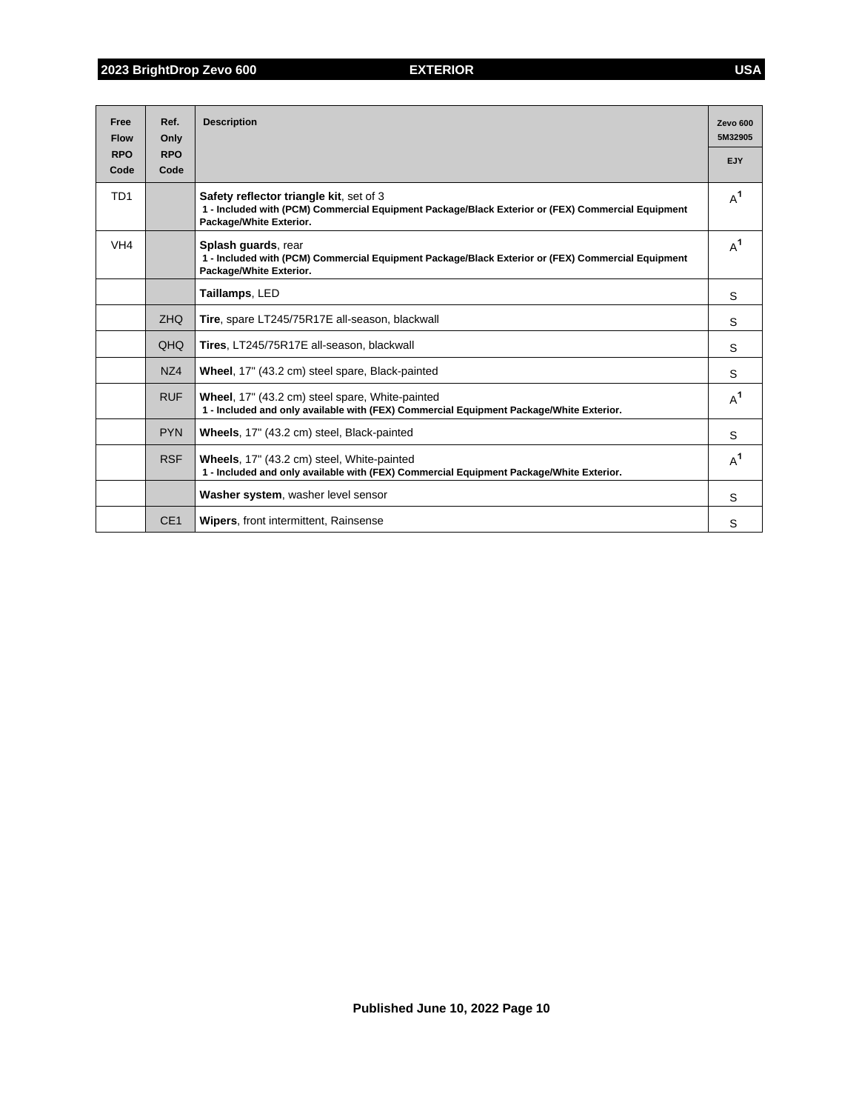| Free<br><b>Flow</b> | Ref.<br>Only       | <b>Description</b>                                                                                                                                                      | <b>Zevo 600</b><br>5M32905 |
|---------------------|--------------------|-------------------------------------------------------------------------------------------------------------------------------------------------------------------------|----------------------------|
| <b>RPO</b><br>Code  | <b>RPO</b><br>Code |                                                                                                                                                                         | <b>EJY</b>                 |
| TD <sub>1</sub>     |                    | Safety reflector triangle kit, set of 3<br>1 - Included with (PCM) Commercial Equipment Package/Black Exterior or (FEX) Commercial Equipment<br>Package/White Exterior. | $A^1$                      |
| VH <sub>4</sub>     |                    | Splash quards, rear<br>1 - Included with (PCM) Commercial Equipment Package/Black Exterior or (FEX) Commercial Equipment<br>Package/White Exterior.                     | $A^1$                      |
|                     |                    | Taillamps, LED                                                                                                                                                          | S                          |
|                     | <b>ZHO</b>         | Tire, spare LT245/75R17E all-season, blackwall                                                                                                                          | S                          |
|                     | QHQ                | Tires, LT245/75R17E all-season, blackwall                                                                                                                               | S                          |
|                     | NZ4                | Wheel, 17" (43.2 cm) steel spare, Black-painted                                                                                                                         | S                          |
|                     | <b>RUF</b>         | Wheel, 17" (43.2 cm) steel spare, White-painted<br>1 - Included and only available with (FEX) Commercial Equipment Package/White Exterior.                              | $A^1$                      |
|                     | <b>PYN</b>         | Wheels, 17" (43.2 cm) steel, Black-painted                                                                                                                              | S                          |
|                     | <b>RSF</b>         | Wheels, 17" (43.2 cm) steel, White-painted<br>1 - Included and only available with (FEX) Commercial Equipment Package/White Exterior.                                   | $A^1$                      |
|                     |                    | Washer system, washer level sensor                                                                                                                                      | S                          |
|                     | CE <sub>1</sub>    | <b>Wipers, front intermittent, Rainsense</b>                                                                                                                            | S                          |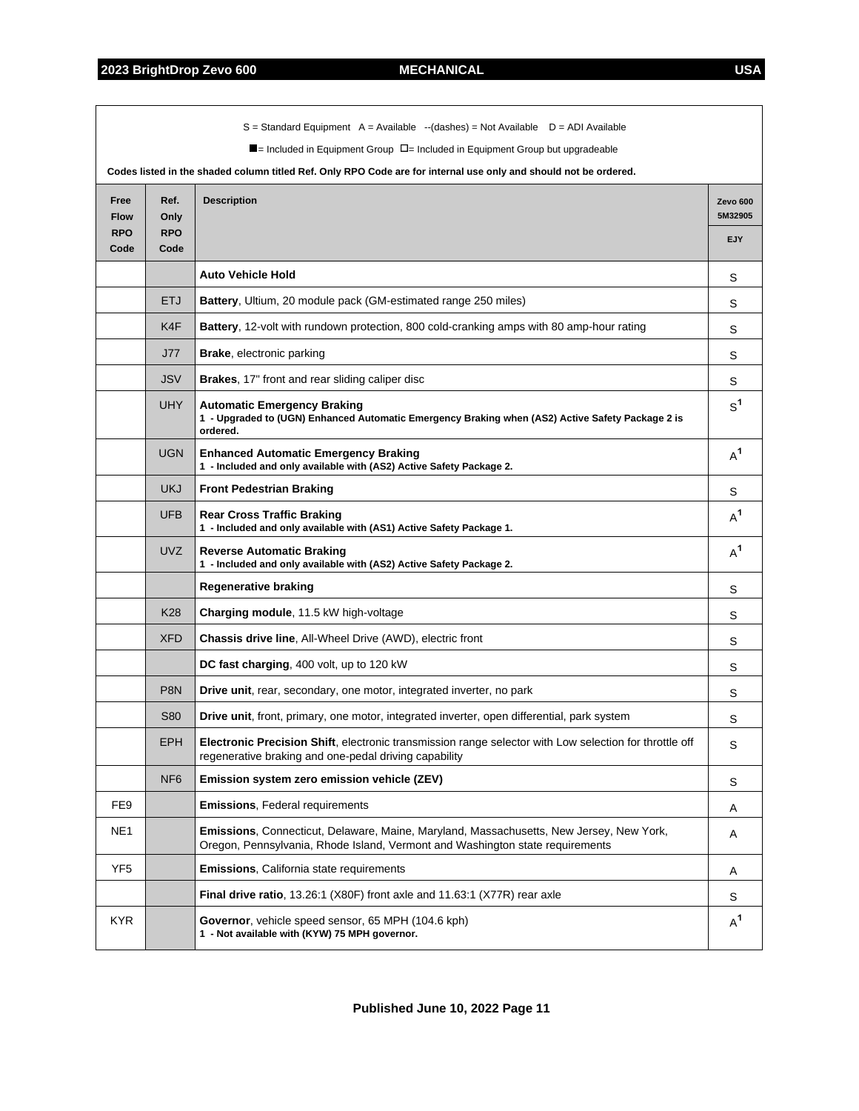|                                   |                                                  | $S =$ Standard Equipment A = Available --(dashes) = Not Available D = ADI Available<br>$\blacksquare$ = Included in Equipment Group $\Box$ = Included in Equipment Group but upgradeable<br>Codes listed in the shaded column titled Ref. Only RPO Code are for internal use only and should not be ordered. |                            |
|-----------------------------------|--------------------------------------------------|--------------------------------------------------------------------------------------------------------------------------------------------------------------------------------------------------------------------------------------------------------------------------------------------------------------|----------------------------|
| Free<br><b>Flow</b><br><b>RPO</b> | Ref.<br><b>Description</b><br>Only<br><b>RPO</b> |                                                                                                                                                                                                                                                                                                              | Zevo 600<br>5M32905<br>EJY |
| Code                              | Code                                             |                                                                                                                                                                                                                                                                                                              |                            |
|                                   |                                                  | <b>Auto Vehicle Hold</b>                                                                                                                                                                                                                                                                                     | S                          |
|                                   | <b>ETJ</b>                                       | Battery, Ultium, 20 module pack (GM-estimated range 250 miles)                                                                                                                                                                                                                                               | S                          |
|                                   | K4F                                              | Battery, 12-volt with rundown protection, 800 cold-cranking amps with 80 amp-hour rating                                                                                                                                                                                                                     | S                          |
|                                   | J77                                              | <b>Brake, electronic parking</b>                                                                                                                                                                                                                                                                             | S                          |
|                                   | <b>JSV</b>                                       | Brakes, 17" front and rear sliding caliper disc                                                                                                                                                                                                                                                              | S                          |
|                                   | <b>UHY</b>                                       | <b>Automatic Emergency Braking</b><br>1 - Upgraded to (UGN) Enhanced Automatic Emergency Braking when (AS2) Active Safety Package 2 is<br>ordered.                                                                                                                                                           | $S^1$                      |
|                                   | <b>UGN</b>                                       | <b>Enhanced Automatic Emergency Braking</b><br>1 - Included and only available with (AS2) Active Safety Package 2.                                                                                                                                                                                           | $A^1$                      |
|                                   | <b>UKJ</b>                                       | <b>Front Pedestrian Braking</b>                                                                                                                                                                                                                                                                              | S                          |
|                                   | <b>UFB</b>                                       | <b>Rear Cross Traffic Braking</b><br>1 - Included and only available with (AS1) Active Safety Package 1.                                                                                                                                                                                                     | $A^1$                      |
|                                   | <b>UVZ</b>                                       | <b>Reverse Automatic Braking</b><br>1 - Included and only available with (AS2) Active Safety Package 2.                                                                                                                                                                                                      | $A^1$                      |
|                                   |                                                  | Regenerative braking                                                                                                                                                                                                                                                                                         | S                          |
|                                   | <b>K28</b>                                       | Charging module, 11.5 kW high-voltage                                                                                                                                                                                                                                                                        | S                          |
|                                   | <b>XFD</b>                                       | Chassis drive line, All-Wheel Drive (AWD), electric front                                                                                                                                                                                                                                                    | S                          |
|                                   |                                                  | DC fast charging, 400 volt, up to 120 kW                                                                                                                                                                                                                                                                     | S                          |
|                                   | P <sub>8</sub> N                                 | <b>Drive unit, rear, secondary, one motor, integrated inverter, no park</b>                                                                                                                                                                                                                                  | S                          |
|                                   | <b>S80</b>                                       | <b>Drive unit, front, primary, one motor, integrated inverter, open differential, park system</b>                                                                                                                                                                                                            | S                          |
|                                   | EPH                                              | Electronic Precision Shift, electronic transmission range selector with Low selection for throttle off<br>regenerative braking and one-pedal driving capability                                                                                                                                              | S                          |
|                                   | NF <sub>6</sub>                                  | Emission system zero emission vehicle (ZEV)                                                                                                                                                                                                                                                                  | S                          |
| FE9                               |                                                  | Emissions, Federal requirements                                                                                                                                                                                                                                                                              | A                          |
| NE <sub>1</sub>                   |                                                  | Emissions, Connecticut, Delaware, Maine, Maryland, Massachusetts, New Jersey, New York,<br>Oregon, Pennsylvania, Rhode Island, Vermont and Washington state requirements                                                                                                                                     | Α                          |
| YF <sub>5</sub>                   |                                                  | <b>Emissions, California state requirements</b>                                                                                                                                                                                                                                                              | A                          |
|                                   |                                                  | Final drive ratio, 13.26:1 (X80F) front axle and 11.63:1 (X77R) rear axle                                                                                                                                                                                                                                    | S                          |
| <b>KYR</b>                        |                                                  | Governor, vehicle speed sensor, 65 MPH (104.6 kph)<br>1 - Not available with (KYW) 75 MPH governor.                                                                                                                                                                                                          | $A^1$                      |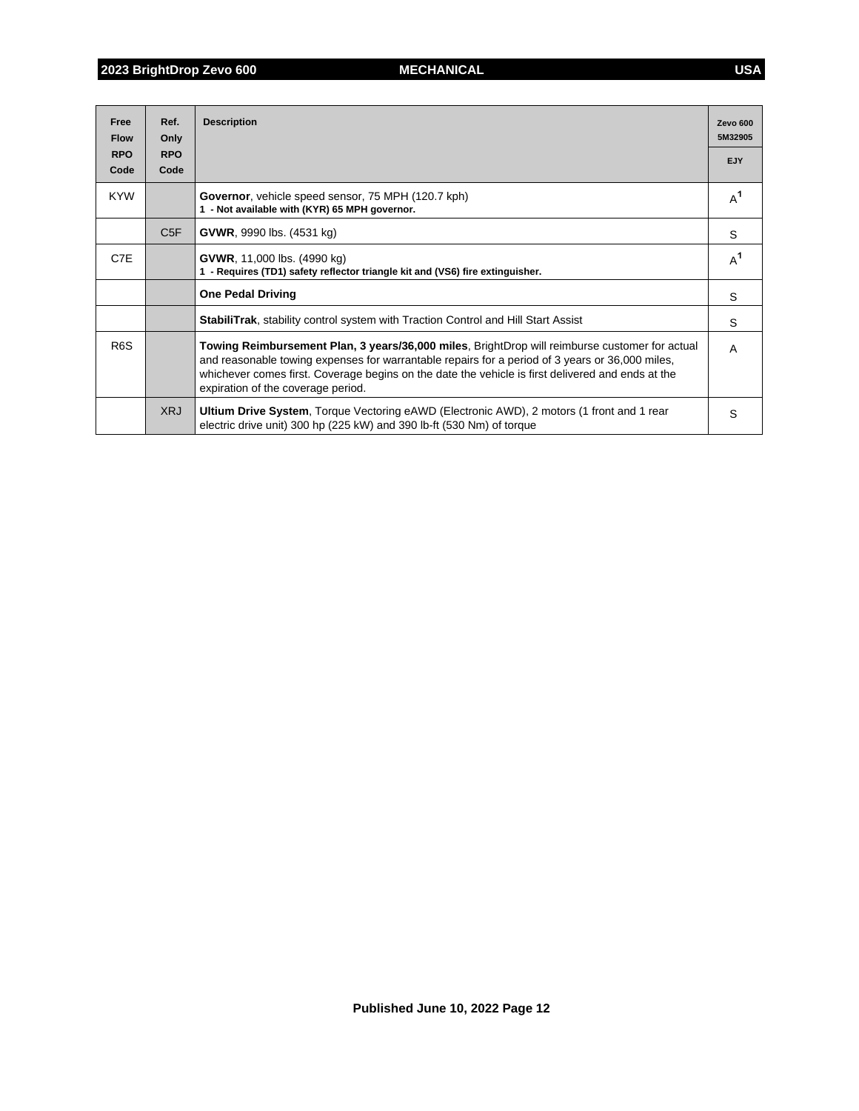| Free<br><b>Flow</b> | Ref.<br>Only    | <b>Description</b>                                                                                                                                                                                                                                                                                                                           | <b>Zevo 600</b><br>5M32905 |
|---------------------|-----------------|----------------------------------------------------------------------------------------------------------------------------------------------------------------------------------------------------------------------------------------------------------------------------------------------------------------------------------------------|----------------------------|
| <b>RPO</b>          | <b>RPO</b>      |                                                                                                                                                                                                                                                                                                                                              | EJY                        |
| Code                | Code            |                                                                                                                                                                                                                                                                                                                                              |                            |
| <b>KYW</b>          |                 | <b>Governor, vehicle speed sensor, 75 MPH (120.7 kph)</b><br>1 - Not available with (KYR) 65 MPH governor.                                                                                                                                                                                                                                   | $A^1$                      |
|                     | C <sub>5F</sub> | <b>GVWR, 9990 lbs. (4531 kg)</b>                                                                                                                                                                                                                                                                                                             | S                          |
| C7E                 |                 | <b>GVWR</b> , 11,000 lbs. (4990 kg)<br>1 - Requires (TD1) safety reflector triangle kit and (VS6) fire extinguisher.                                                                                                                                                                                                                         | $A^1$                      |
|                     |                 | <b>One Pedal Driving</b>                                                                                                                                                                                                                                                                                                                     | S                          |
|                     |                 | <b>StabiliTrak, stability control system with Traction Control and Hill Start Assist</b>                                                                                                                                                                                                                                                     | S                          |
| R <sub>6</sub> S    |                 | Towing Reimbursement Plan, 3 years/36,000 miles, BrightDrop will reimburse customer for actual<br>and reasonable towing expenses for warrantable repairs for a period of 3 years or 36,000 miles,<br>whichever comes first. Coverage begins on the date the vehicle is first delivered and ends at the<br>expiration of the coverage period. | A                          |
|                     | <b>XRJ</b>      | <b>Ultium Drive System, Torque Vectoring eAWD (Electronic AWD), 2 motors (1 front and 1 rear</b><br>electric drive unit) 300 hp (225 kW) and 390 lb-ft (530 Nm) of torque                                                                                                                                                                    | S                          |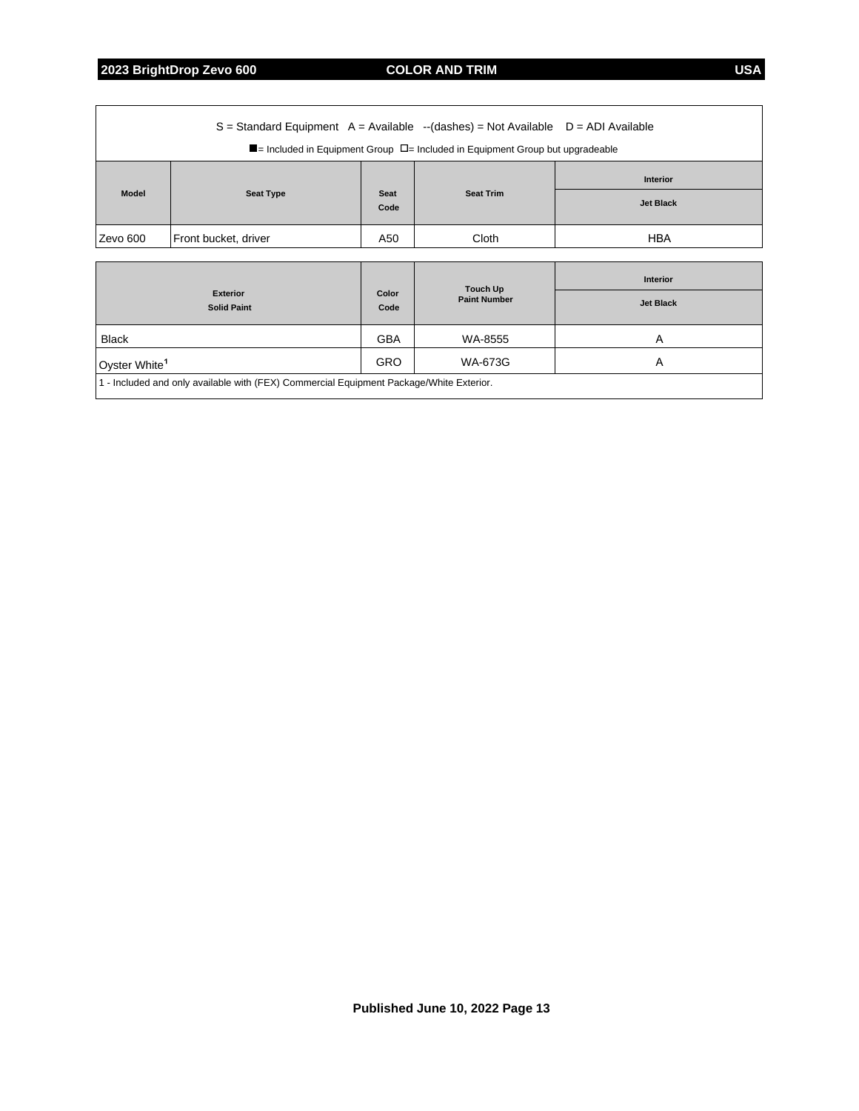**2023 BrightDrop Zevo 600 COLOR AND TRIM USA**

| $S =$ Standard Equipment A = Available --(dashes) = Not Available D = ADI Available<br>$\blacksquare$ = Included in Equipment Group $\Box$ = Included in Equipment Group but upgradeable |                  |                     |                  |                  |  |  |  |
|------------------------------------------------------------------------------------------------------------------------------------------------------------------------------------------|------------------|---------------------|------------------|------------------|--|--|--|
|                                                                                                                                                                                          |                  |                     |                  |                  |  |  |  |
|                                                                                                                                                                                          |                  | <b>Seat</b><br>Code | <b>Seat Trim</b> | <b>Interior</b>  |  |  |  |
| <b>Model</b>                                                                                                                                                                             | <b>Seat Type</b> |                     |                  | <b>Jet Black</b> |  |  |  |
| Front bucket, driver<br>Zevo 600                                                                                                                                                         |                  | A50                 | Cloth            | <b>HBA</b>       |  |  |  |
|                                                                                                                                                                                          |                  |                     |                  |                  |  |  |  |

| <b>Exterior</b><br><b>Solid Paint</b>                                                   | Color<br>Code | Touch Up<br><b>Paint Number</b> | <b>Interior</b><br><b>Jet Black</b> |  |
|-----------------------------------------------------------------------------------------|---------------|---------------------------------|-------------------------------------|--|
| <b>Black</b>                                                                            | <b>GBA</b>    | WA-8555                         | А                                   |  |
| Oyster White <sup>1</sup>                                                               | <b>GRO</b>    | WA-673G                         | A                                   |  |
| 1 - Included and only available with (FEX) Commercial Equipment Package/White Exterior. |               |                                 |                                     |  |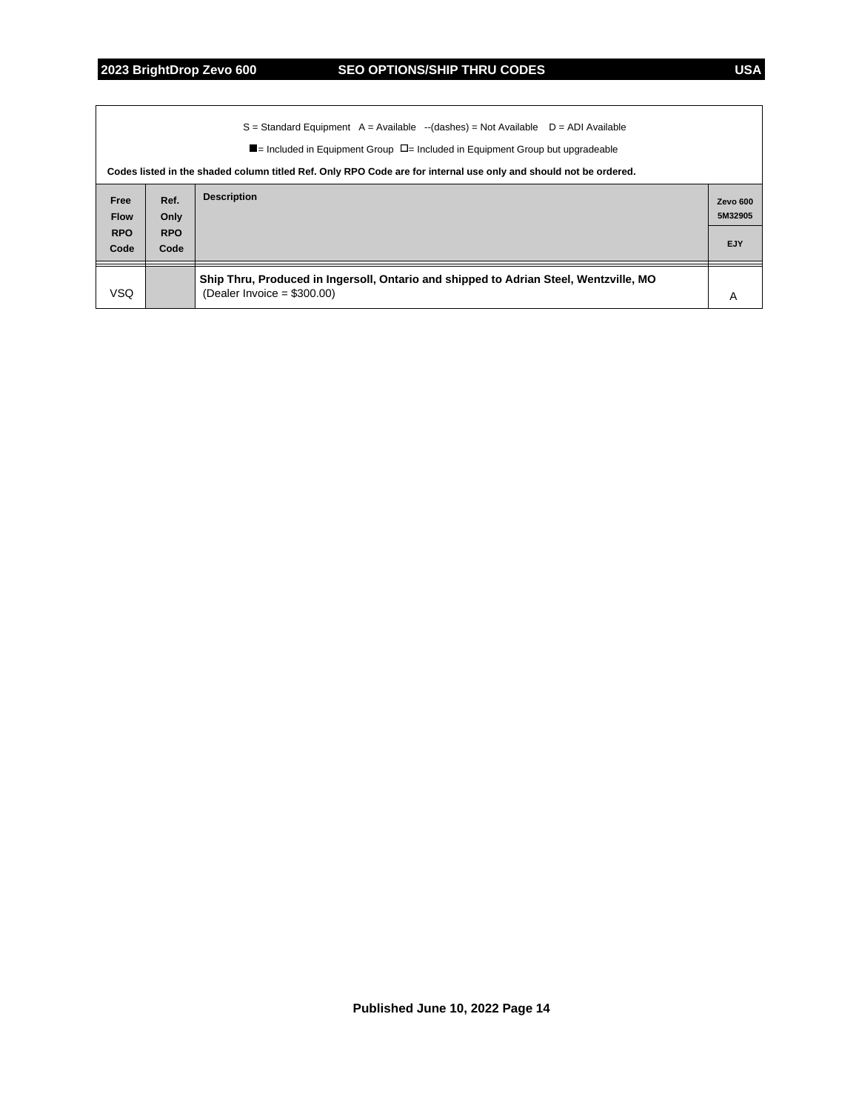|                                   | $S =$ Standard Equipment A = Available --(dashes) = Not Available D = ADI Available<br>$\blacksquare$ = Included in Equipment Group $\Box$ = Included in Equipment Group but upgradeable<br>Codes listed in the shaded column titled Ref. Only RPO Code are for internal use only and should not be ordered. |                                                                                                                        |                     |  |  |  |
|-----------------------------------|--------------------------------------------------------------------------------------------------------------------------------------------------------------------------------------------------------------------------------------------------------------------------------------------------------------|------------------------------------------------------------------------------------------------------------------------|---------------------|--|--|--|
| Free<br><b>Flow</b><br><b>RPO</b> | Ref.<br>Only<br><b>RPO</b>                                                                                                                                                                                                                                                                                   | <b>Description</b>                                                                                                     | Zevo 600<br>5M32905 |  |  |  |
| Code                              | Code                                                                                                                                                                                                                                                                                                         |                                                                                                                        | EJY                 |  |  |  |
| VSQ.                              |                                                                                                                                                                                                                                                                                                              | Ship Thru, Produced in Ingersoll, Ontario and shipped to Adrian Steel, Wentzville, MO<br>(Dealer Invoice = $$300.00$ ) | A                   |  |  |  |

**Published June 10, 2022 Page 14**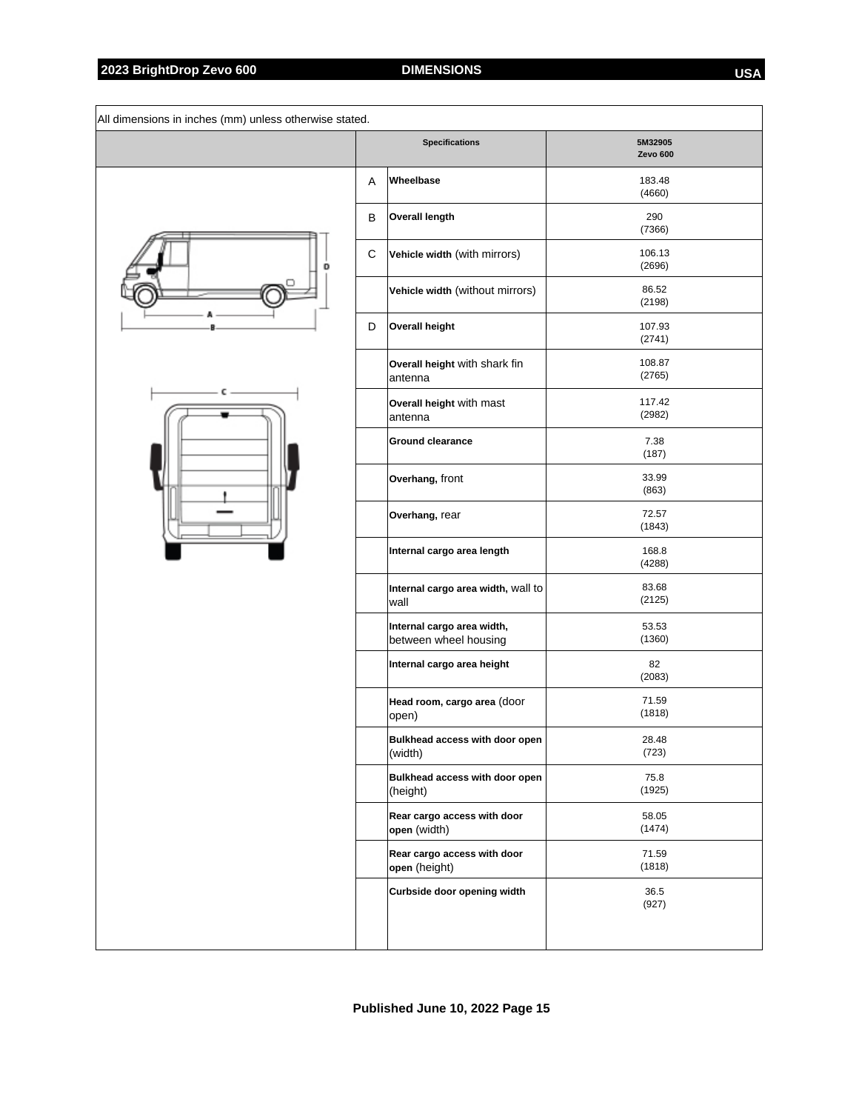|   |   | <b>Specifications</b>                               | 5M32905<br>Zevo 600 |
|---|---|-----------------------------------------------------|---------------------|
|   | Α | Wheelbase                                           | 183.48<br>(4660)    |
|   | В | Overall length                                      | 290<br>(7366)       |
| D | C | Vehicle width (with mirrors)                        | 106.13<br>(2696)    |
|   |   | Vehicle width (without mirrors)                     | 86.52<br>(2198)     |
|   | D | <b>Overall height</b>                               | 107.93<br>(2741)    |
|   |   | Overall height with shark fin<br>lantenna           | 108.87<br>(2765)    |
|   |   | Overall height with mast<br>antenna                 | 117.42<br>(2982)    |
|   |   | <b>Ground clearance</b>                             | 7.38<br>(187)       |
|   |   | Overhang, front                                     | 33.99<br>(863)      |
|   |   | Overhang, rear                                      | 72.57<br>(1843)     |
|   |   | Internal cargo area length                          | 168.8<br>(4288)     |
|   |   | Internal cargo area width, wall to<br>wall          | 83.68<br>(2125)     |
|   |   | Internal cargo area width,<br>between wheel housing | 53.53<br>(1360)     |
|   |   | Internal cargo area height                          | 82<br>(2083)        |
|   |   | Head room, cargo area (door<br>open)                | 71.59<br>(1818)     |
|   |   | Bulkhead access with door open<br>(width)           | 28.48<br>(723)      |
|   |   | Bulkhead access with door open<br>(height)          | 75.8<br>(1925)      |
|   |   | Rear cargo access with door<br>open (width)         | 58.05<br>(1474)     |
|   |   | Rear cargo access with door<br>open (height)        | 71.59<br>(1818)     |
|   |   | Curbside door opening width                         | 36.5<br>(927)       |
|   |   |                                                     |                     |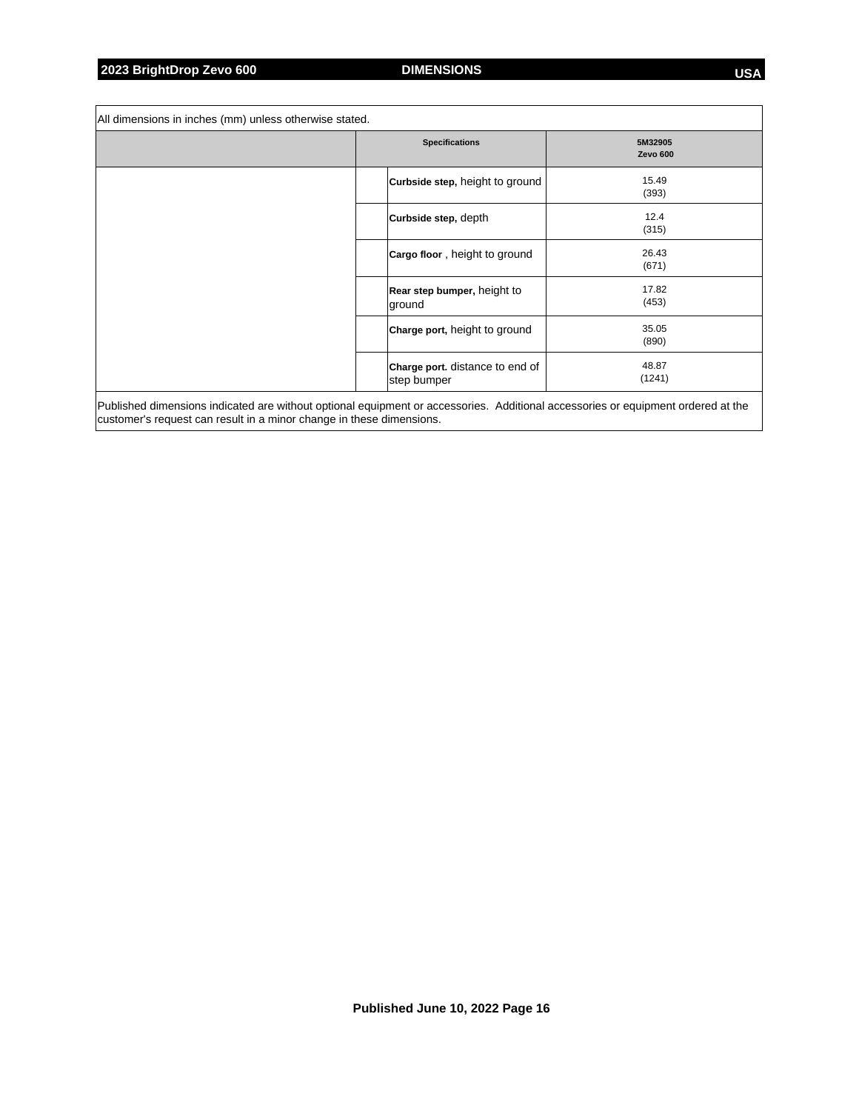r

| All dimensions in inches (mm) unless otherwise stated.                                                                                                                                                   |                                                |                                |
|----------------------------------------------------------------------------------------------------------------------------------------------------------------------------------------------------------|------------------------------------------------|--------------------------------|
|                                                                                                                                                                                                          | <b>Specifications</b>                          | 5M32905<br>Zevo <sub>600</sub> |
|                                                                                                                                                                                                          | <b>Curbside step, height to ground</b>         | 15.49<br>(393)                 |
|                                                                                                                                                                                                          | Curbside step, depth                           | 12.4<br>(315)                  |
|                                                                                                                                                                                                          | Cargo floor, height to ground                  | 26.43<br>(671)                 |
|                                                                                                                                                                                                          | Rear step bumper, height to<br>ground          | 17.82<br>(453)                 |
|                                                                                                                                                                                                          | Charge port, height to ground                  | 35.05<br>(890)                 |
|                                                                                                                                                                                                          | Charge port. distance to end of<br>step bumper | 48.87<br>(1241)                |
| Published dimensions indicated are without optional equipment or accessories. Additional accessories or equipment ordered at the<br>customer's request can result in a minor change in these dimensions. |                                                |                                |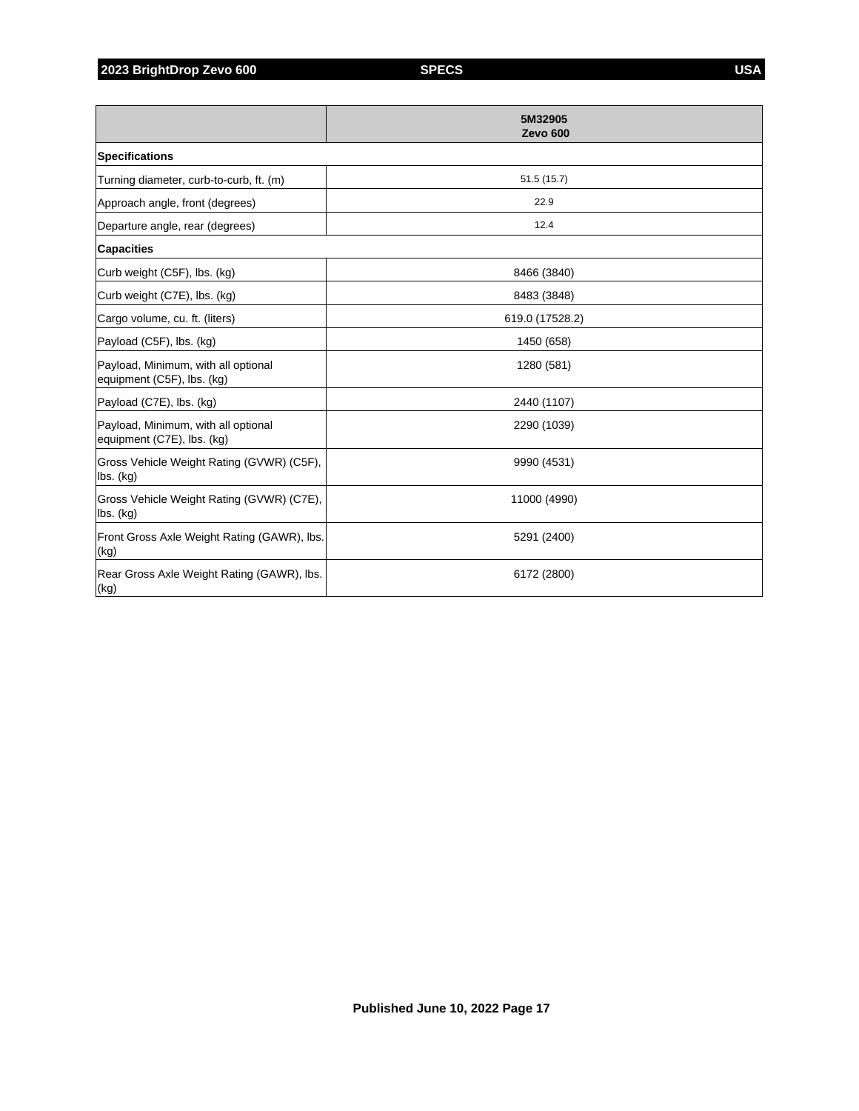**2023 BrightDrop Zevo 600 SPECS USA**

|                                                                   | 5M32905<br><b>Zevo 600</b> |
|-------------------------------------------------------------------|----------------------------|
| <b>Specifications</b>                                             |                            |
| Turning diameter, curb-to-curb, ft. (m)                           | 51.5(15.7)                 |
| Approach angle, front (degrees)                                   | 22.9                       |
| Departure angle, rear (degrees)                                   | 12.4                       |
| <b>Capacities</b>                                                 |                            |
| Curb weight (C5F), lbs. (kg)                                      | 8466 (3840)                |
| Curb weight (C7E), lbs. (kg)                                      | 8483 (3848)                |
| Cargo volume, cu. ft. (liters)                                    | 619.0 (17528.2)            |
| Payload (C5F), lbs. (kg)                                          | 1450 (658)                 |
| Payload, Minimum, with all optional<br>equipment (C5F), lbs. (kg) | 1280 (581)                 |
| Payload (C7E), lbs. (kg)                                          | 2440 (1107)                |
| Payload, Minimum, with all optional<br>equipment (C7E), lbs. (kg) | 2290 (1039)                |
| Gross Vehicle Weight Rating (GVWR) (C5F),<br>lbs. (kg)            | 9990 (4531)                |
| Gross Vehicle Weight Rating (GVWR) (C7E),<br>$ $ lbs. $(kg)$      | 11000 (4990)               |
| Front Gross Axle Weight Rating (GAWR), Ibs.<br>(kg)               | 5291 (2400)                |
| Rear Gross Axle Weight Rating (GAWR), Ibs.<br>(kg)                | 6172 (2800)                |

**Published June 10, 2022 Page 17**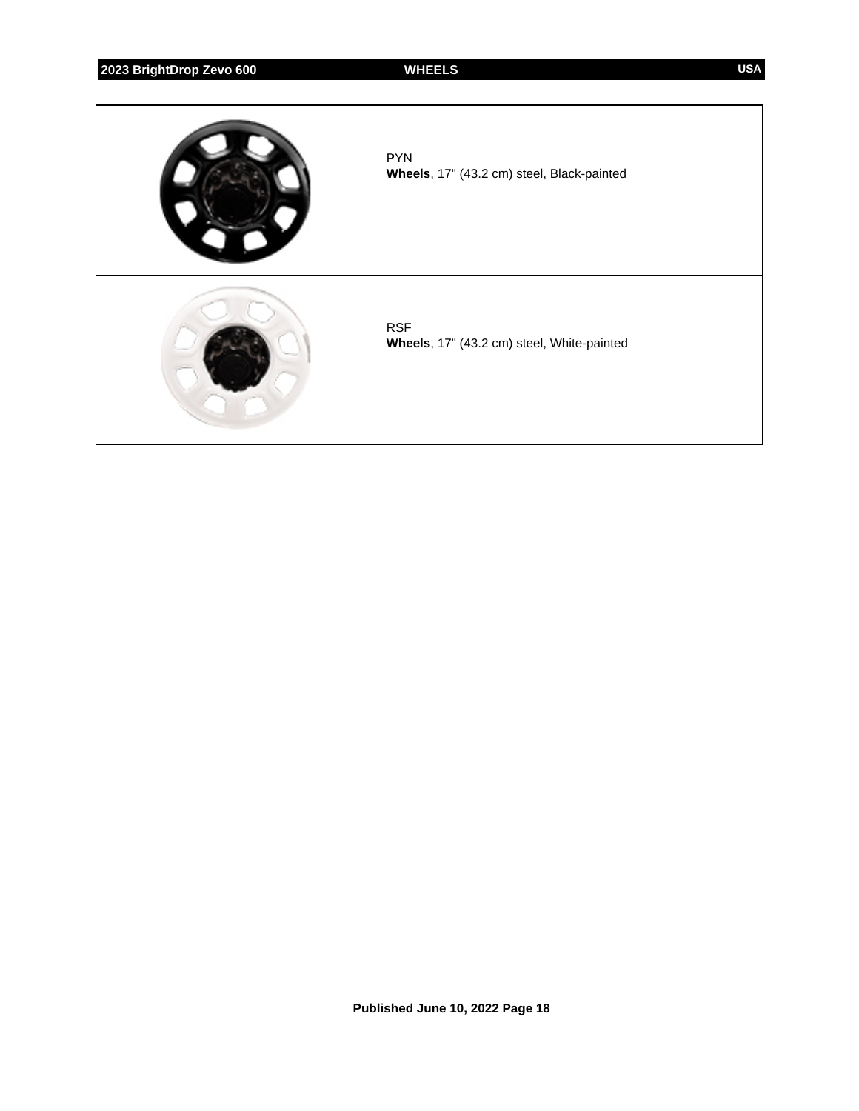**2023 BrightDrop Zevo 600 WHEELS USA**

| <b>PYN</b><br>Wheels, 17" (43.2 cm) steel, Black-painted |
|----------------------------------------------------------|
| <b>RSF</b><br>Wheels, 17" (43.2 cm) steel, White-painted |

**Published June 10, 2022 Page 18**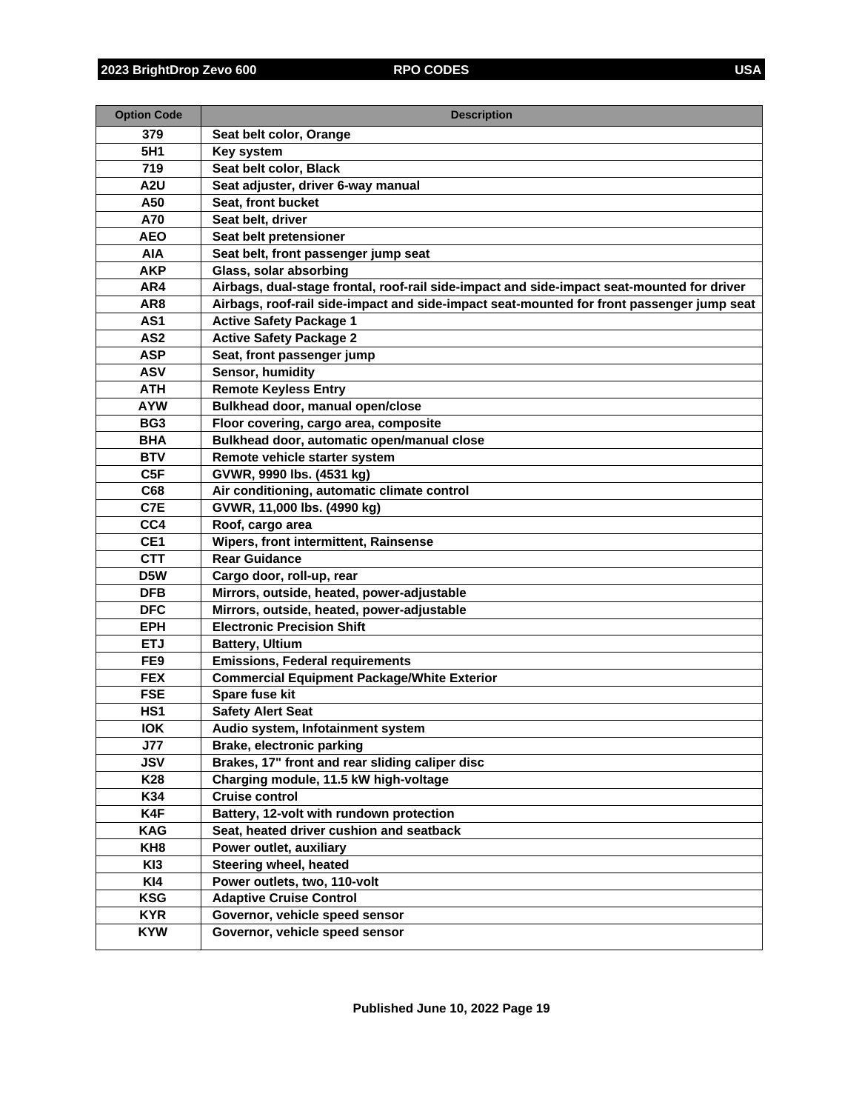| <b>Option Code</b>            | <b>Description</b>                                                                         |
|-------------------------------|--------------------------------------------------------------------------------------------|
| 379                           | Seat belt color, Orange                                                                    |
| 5H1                           | Key system                                                                                 |
| 719                           | Seat belt color, Black                                                                     |
| A <sub>2</sub> U              | Seat adjuster, driver 6-way manual                                                         |
| A50                           | Seat, front bucket                                                                         |
| A70                           | Seat belt, driver                                                                          |
| <b>AEO</b>                    | Seat belt pretensioner                                                                     |
| <b>AIA</b>                    | Seat belt, front passenger jump seat                                                       |
| <b>AKP</b>                    | Glass, solar absorbing                                                                     |
| AR4                           | Airbags, dual-stage frontal, roof-rail side-impact and side-impact seat-mounted for driver |
| AR <sub>8</sub>               | Airbags, roof-rail side-impact and side-impact seat-mounted for front passenger jump seat  |
| AS <sub>1</sub>               | <b>Active Safety Package 1</b>                                                             |
| AS <sub>2</sub>               | <b>Active Safety Package 2</b>                                                             |
| <b>ASP</b>                    | Seat, front passenger jump                                                                 |
| <b>ASV</b>                    | Sensor, humidity                                                                           |
| <b>ATH</b>                    | <b>Remote Keyless Entry</b>                                                                |
| <b>AYW</b>                    | Bulkhead door, manual open/close                                                           |
| BG <sub>3</sub>               | Floor covering, cargo area, composite                                                      |
| <b>BHA</b>                    | Bulkhead door, automatic open/manual close                                                 |
| <b>BTV</b>                    | Remote vehicle starter system                                                              |
| C <sub>5F</sub>               | GVWR, 9990 lbs. (4531 kg)                                                                  |
| C68                           | Air conditioning, automatic climate control                                                |
| C7E                           | GVWR, 11,000 lbs. (4990 kg)                                                                |
| CC4                           | Roof, cargo area                                                                           |
| CE <sub>1</sub>               | Wipers, front intermittent, Rainsense                                                      |
| <b>CTT</b>                    | <b>Rear Guidance</b>                                                                       |
| D <sub>5</sub> W              | Cargo door, roll-up, rear                                                                  |
| <b>DFB</b>                    | Mirrors, outside, heated, power-adjustable                                                 |
| <b>DFC</b>                    | Mirrors, outside, heated, power-adjustable                                                 |
| <b>EPH</b>                    | <b>Electronic Precision Shift</b>                                                          |
| <b>ETJ</b>                    | <b>Battery, Ultium</b>                                                                     |
| FE9                           | <b>Emissions, Federal requirements</b>                                                     |
| <b>FEX</b>                    | <b>Commercial Equipment Package/White Exterior</b>                                         |
| <b>FSE</b><br>HS <sub>1</sub> | Spare fuse kit<br><b>Safety Alert Seat</b>                                                 |
| <b>IOK</b>                    | Audio system, Infotainment system                                                          |
| <b>J77</b>                    | Brake, electronic parking                                                                  |
| <b>JSV</b>                    | Brakes, 17" front and rear sliding caliper disc                                            |
| K28                           | Charging module, 11.5 kW high-voltage                                                      |
| K34                           | <b>Cruise control</b>                                                                      |
| K4F                           | Battery, 12-volt with rundown protection                                                   |
| <b>KAG</b>                    | Seat, heated driver cushion and seatback                                                   |
| KH8                           | Power outlet, auxiliary                                                                    |
| KI3                           | Steering wheel, heated                                                                     |
| KI4                           | Power outlets, two, 110-volt                                                               |
| <b>KSG</b>                    | <b>Adaptive Cruise Control</b>                                                             |
| <b>KYR</b>                    | Governor, vehicle speed sensor                                                             |
| <b>KYW</b>                    | Governor, vehicle speed sensor                                                             |
|                               |                                                                                            |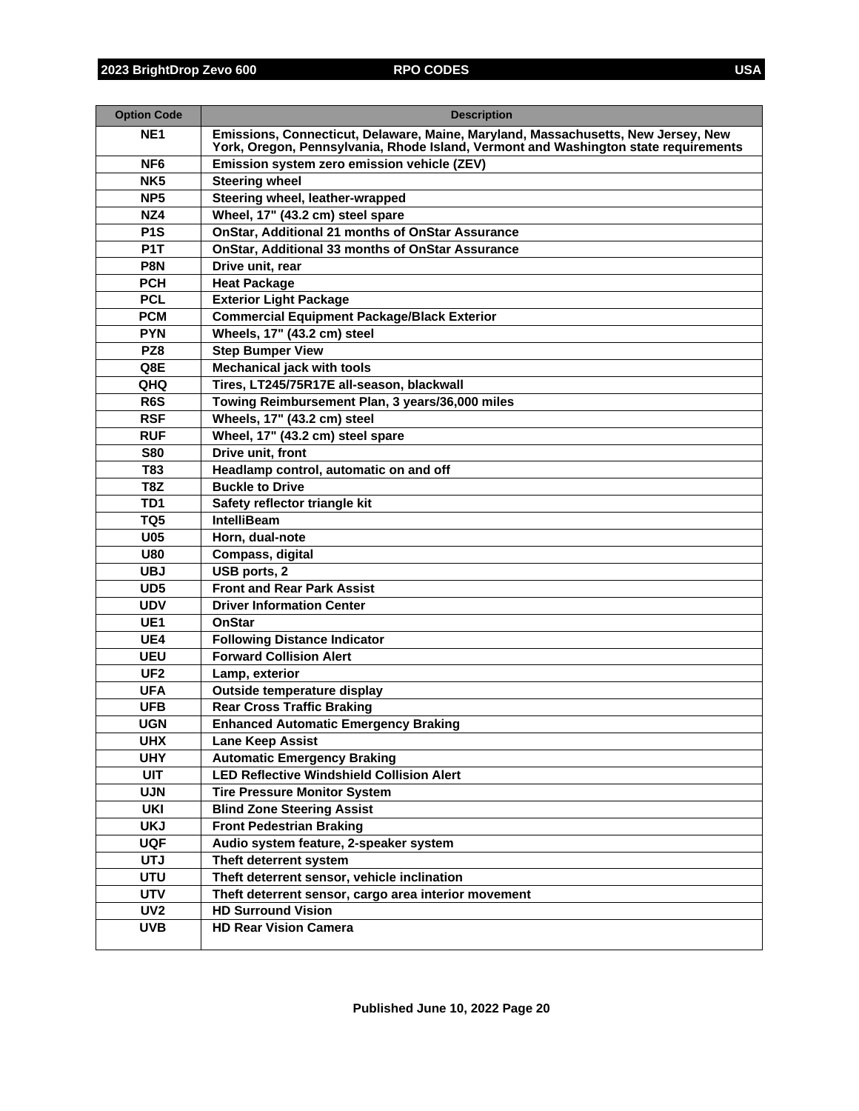| <b>Option Code</b>       | <b>Description</b>                                                                                                                                                       |
|--------------------------|--------------------------------------------------------------------------------------------------------------------------------------------------------------------------|
| NE <sub>1</sub>          | Emissions, Connecticut, Delaware, Maine, Maryland, Massachusetts, New Jersey, New<br>York, Oregon, Pennsylvania, Rhode Island, Vermont and Washington state requirements |
| NF <sub>6</sub>          | Emission system zero emission vehicle (ZEV)                                                                                                                              |
| NK <sub>5</sub>          | <b>Steering wheel</b>                                                                                                                                                    |
| NP <sub>5</sub>          | Steering wheel, leather-wrapped                                                                                                                                          |
| NZ4                      | Wheel, 17" (43.2 cm) steel spare                                                                                                                                         |
| P <sub>1</sub> S         | <b>OnStar, Additional 21 months of OnStar Assurance</b>                                                                                                                  |
| P <sub>1</sub> T         | OnStar, Additional 33 months of OnStar Assurance                                                                                                                         |
| P8N                      | Drive unit, rear                                                                                                                                                         |
| <b>PCH</b>               | <b>Heat Package</b>                                                                                                                                                      |
| <b>PCL</b>               | <b>Exterior Light Package</b>                                                                                                                                            |
| <b>PCM</b>               | <b>Commercial Equipment Package/Black Exterior</b>                                                                                                                       |
| <b>PYN</b>               | Wheels, 17" (43.2 cm) steel                                                                                                                                              |
| PZ8                      | <b>Step Bumper View</b>                                                                                                                                                  |
| Q8E                      | <b>Mechanical jack with tools</b>                                                                                                                                        |
| QHQ                      | Tires, LT245/75R17E all-season, blackwall                                                                                                                                |
| R <sub>6</sub> S         | Towing Reimbursement Plan, 3 years/36,000 miles                                                                                                                          |
| <b>RSF</b>               | Wheels, 17" (43.2 cm) steel                                                                                                                                              |
| <b>RUF</b><br><b>S80</b> | Wheel, 17" (43.2 cm) steel spare<br>Drive unit, front                                                                                                                    |
| <b>T83</b>               |                                                                                                                                                                          |
| T8Z                      | Headlamp control, automatic on and off<br><b>Buckle to Drive</b>                                                                                                         |
| TD1                      | Safety reflector triangle kit                                                                                                                                            |
| TQ <sub>5</sub>          | <b>IntelliBeam</b>                                                                                                                                                       |
| <b>U05</b>               | Horn, dual-note                                                                                                                                                          |
| <b>U80</b>               | Compass, digital                                                                                                                                                         |
| <b>UBJ</b>               | USB ports, 2                                                                                                                                                             |
| UD <sub>5</sub>          | <b>Front and Rear Park Assist</b>                                                                                                                                        |
| <b>UDV</b>               | <b>Driver Information Center</b>                                                                                                                                         |
| UE <sub>1</sub>          | <b>OnStar</b>                                                                                                                                                            |
| UE4                      | <b>Following Distance Indicator</b>                                                                                                                                      |
| <b>UEU</b>               | <b>Forward Collision Alert</b>                                                                                                                                           |
| UF <sub>2</sub>          | Lamp, exterior                                                                                                                                                           |
| <b>UFA</b>               | Outside temperature display                                                                                                                                              |
| <b>UFB</b>               | <b>Rear Cross Traffic Braking</b>                                                                                                                                        |
| <b>UGN</b>               | <b>Enhanced Automatic Emergency Braking</b>                                                                                                                              |
| <b>UHX</b>               | Lane Keep Assist                                                                                                                                                         |
| <b>UHY</b>               | <b>Automatic Emergency Braking</b>                                                                                                                                       |
| <b>UIT</b>               | <b>LED Reflective Windshield Collision Alert</b>                                                                                                                         |
| <b>UJN</b>               | <b>Tire Pressure Monitor System</b>                                                                                                                                      |
| <b>UKI</b>               | <b>Blind Zone Steering Assist</b>                                                                                                                                        |
| <b>UKJ</b>               | <b>Front Pedestrian Braking</b>                                                                                                                                          |
| <b>UQF</b>               | Audio system feature, 2-speaker system                                                                                                                                   |
| <b>UTJ</b>               | Theft deterrent system                                                                                                                                                   |
| <b>UTU</b>               | Theft deterrent sensor, vehicle inclination                                                                                                                              |
| <b>UTV</b>               | Theft deterrent sensor, cargo area interior movement                                                                                                                     |
| UV <sub>2</sub>          | <b>HD Surround Vision</b>                                                                                                                                                |
| <b>UVB</b>               | <b>HD Rear Vision Camera</b>                                                                                                                                             |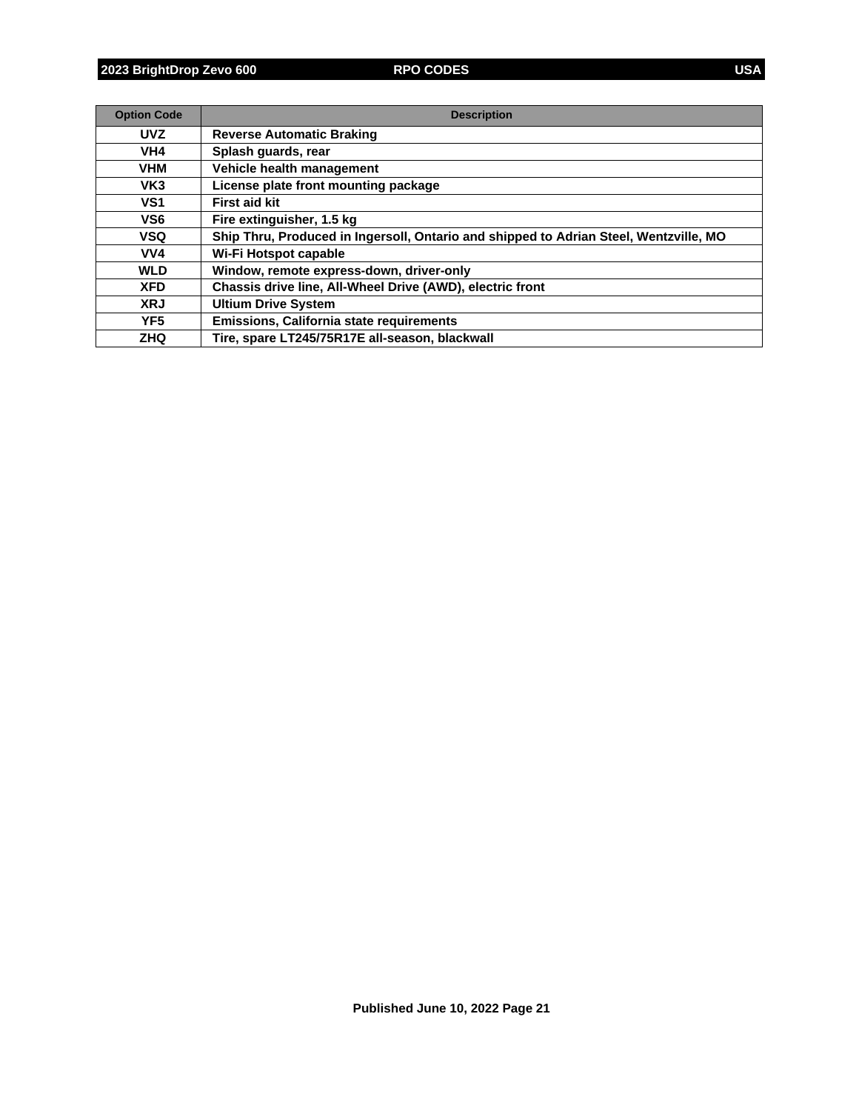| <b>Option Code</b> | <b>Description</b>                                                                    |
|--------------------|---------------------------------------------------------------------------------------|
| <b>UVZ</b>         | <b>Reverse Automatic Braking</b>                                                      |
| VH4                | Splash quards, rear                                                                   |
| <b>VHM</b>         | Vehicle health management                                                             |
| VK <sub>3</sub>    | License plate front mounting package                                                  |
| VS <sub>1</sub>    | <b>First aid kit</b>                                                                  |
| VS <sub>6</sub>    | Fire extinguisher, 1.5 kg                                                             |
| VSQ                | Ship Thru, Produced in Ingersoll, Ontario and shipped to Adrian Steel, Wentzville, MO |
| VV4                | Wi-Fi Hotspot capable                                                                 |
| <b>WLD</b>         | Window, remote express-down, driver-only                                              |
| <b>XFD</b>         | Chassis drive line, All-Wheel Drive (AWD), electric front                             |
| <b>XRJ</b>         | <b>Ultium Drive System</b>                                                            |
| YF <sub>5</sub>    | <b>Emissions, California state requirements</b>                                       |
| <b>ZHQ</b>         | Tire, spare LT245/75R17E all-season, blackwall                                        |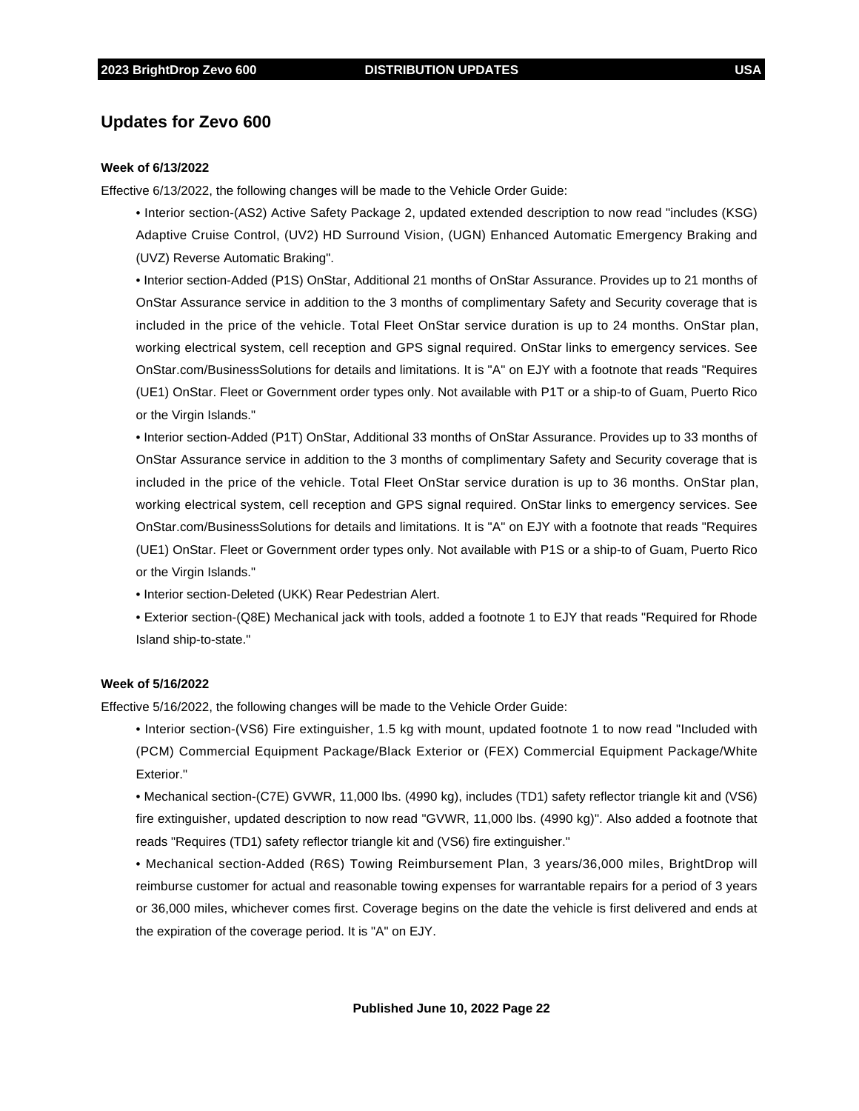## **Updates for Zevo 600**

#### **Week of 6/13/2022**

Effective 6/13/2022, the following changes will be made to the Vehicle Order Guide:

• Interior section-(AS2) Active Safety Package 2, updated extended description to now read "includes (KSG) Adaptive Cruise Control, (UV2) HD Surround Vision, (UGN) Enhanced Automatic Emergency Braking and (UVZ) Reverse Automatic Braking".

• Interior section-Added (P1S) OnStar, Additional 21 months of OnStar Assurance. Provides up to 21 months of OnStar Assurance service in addition to the 3 months of complimentary Safety and Security coverage that is included in the price of the vehicle. Total Fleet OnStar service duration is up to 24 months. OnStar plan, working electrical system, cell reception and GPS signal required. OnStar links to emergency services. See OnStar.com/BusinessSolutions for details and limitations. It is "A" on EJY with a footnote that reads "Requires (UE1) OnStar. Fleet or Government order types only. Not available with P1T or a ship-to of Guam, Puerto Rico or the Virgin Islands."

• Interior section-Added (P1T) OnStar, Additional 33 months of OnStar Assurance. Provides up to 33 months of OnStar Assurance service in addition to the 3 months of complimentary Safety and Security coverage that is included in the price of the vehicle. Total Fleet OnStar service duration is up to 36 months. OnStar plan, working electrical system, cell reception and GPS signal required. OnStar links to emergency services. See OnStar.com/BusinessSolutions for details and limitations. It is "A" on EJY with a footnote that reads "Requires (UE1) OnStar. Fleet or Government order types only. Not available with P1S or a ship-to of Guam, Puerto Rico or the Virgin Islands."

• Interior section-Deleted (UKK) Rear Pedestrian Alert.

• Exterior section-(Q8E) Mechanical jack with tools, added a footnote 1 to EJY that reads "Required for Rhode Island ship-to-state."

#### **Week of 5/16/2022**

Effective 5/16/2022, the following changes will be made to the Vehicle Order Guide:

• Interior section-(VS6) Fire extinguisher, 1.5 kg with mount, updated footnote 1 to now read "Included with (PCM) Commercial Equipment Package/Black Exterior or (FEX) Commercial Equipment Package/White Exterior."

• Mechanical section-(C7E) GVWR, 11,000 lbs. (4990 kg), includes (TD1) safety reflector triangle kit and (VS6) fire extinguisher, updated description to now read "GVWR, 11,000 lbs. (4990 kg)". Also added a footnote that reads "Requires (TD1) safety reflector triangle kit and (VS6) fire extinguisher."

• Mechanical section-Added (R6S) Towing Reimbursement Plan, 3 years/36,000 miles, BrightDrop will reimburse customer for actual and reasonable towing expenses for warrantable repairs for a period of 3 years or 36,000 miles, whichever comes first. Coverage begins on the date the vehicle is first delivered and ends at the expiration of the coverage period. It is "A" on EJY.